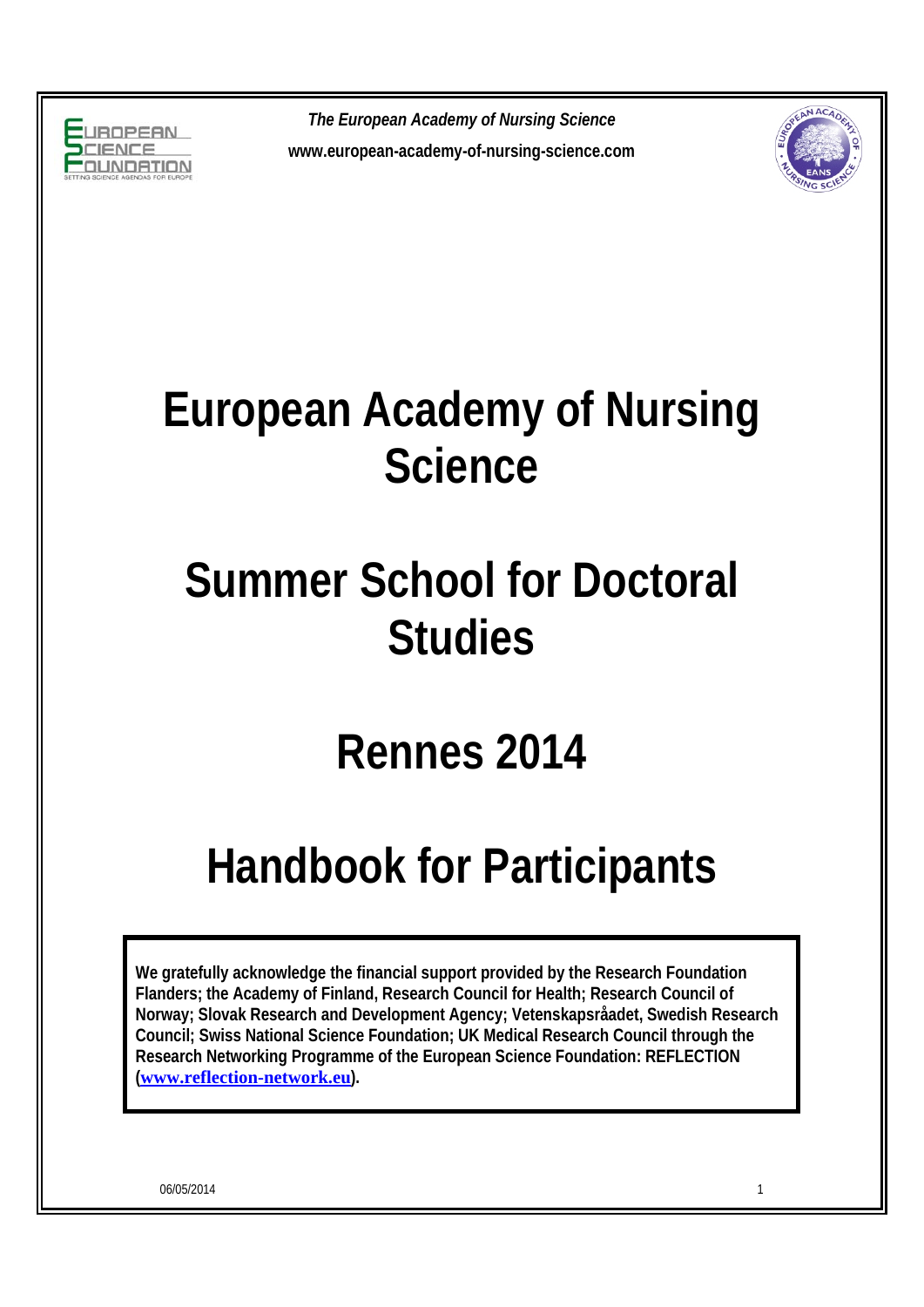



## **European Academy of Nursing Science**

## **Summer School for Doctoral Studies**

## **Rennes 2014**

## **Handbook for Participants**

**We gratefully acknowledge the financial support provided by the Research Foundation Flanders; the Academy of Finland, Research Council for Health; Research Council of Norway; Slovak Research and Development Agency; Vetenskapsråadet, Swedish Research Council; Swiss National Science Foundation; UK Medical Research Council through the Research Networking Programme of the European Science Foundation: REFLECTION (www.reflection-network.eu).**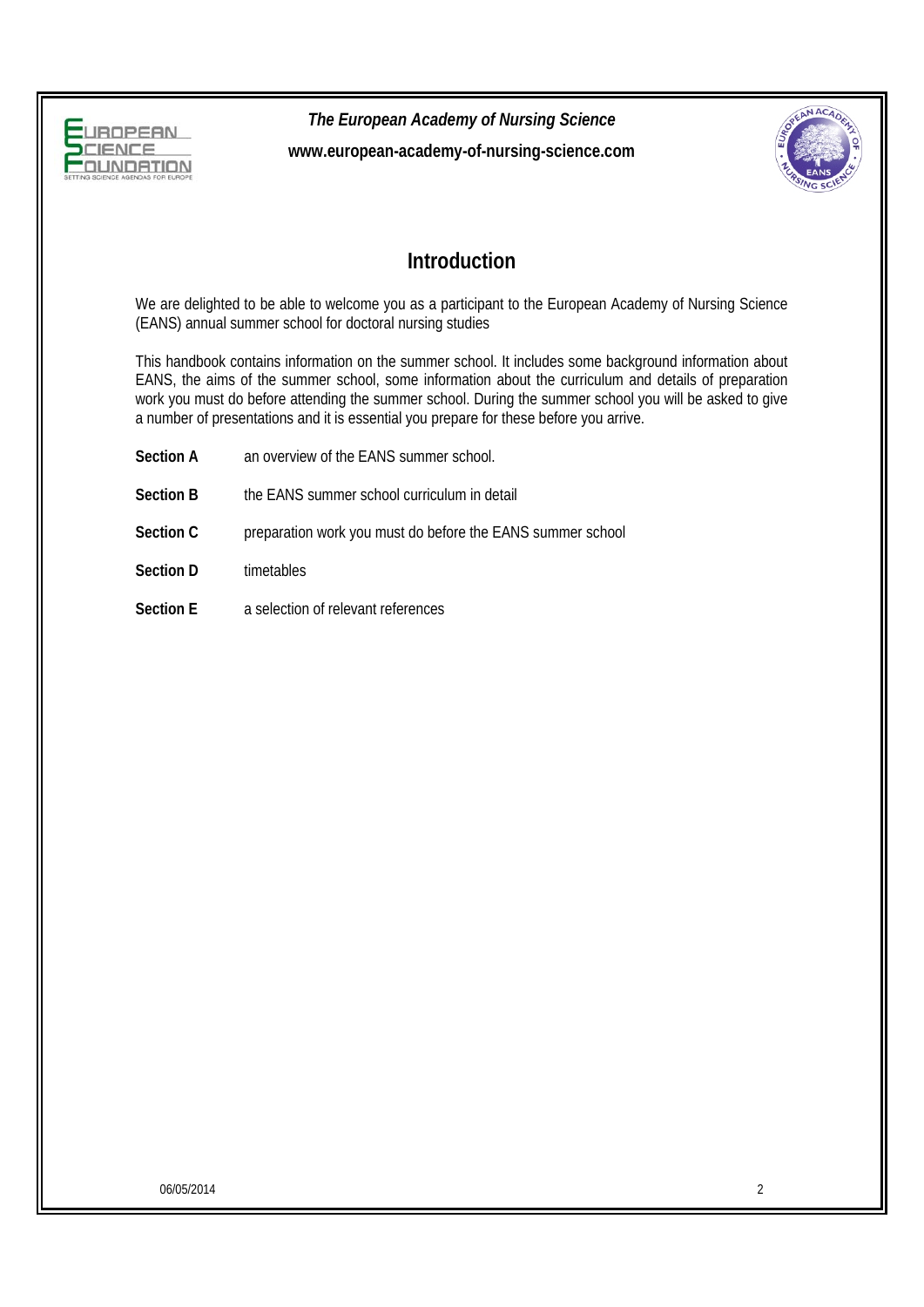



## **Introduction**

We are delighted to be able to welcome you as a participant to the European Academy of Nursing Science (EANS) annual summer school for doctoral nursing studies

This handbook contains information on the summer school. It includes some background information about EANS, the aims of the summer school, some information about the curriculum and details of preparation work you must do before attending the summer school. During the summer school you will be asked to give a number of presentations and it is essential you prepare for these before you arrive.

- **Section A** an overview of the EANS summer school.
- **Section B** the EANS summer school curriculum in detail
- Section C preparation work you must do before the EANS summer school
- **Section D** timetables
- **Section E** a selection of relevant references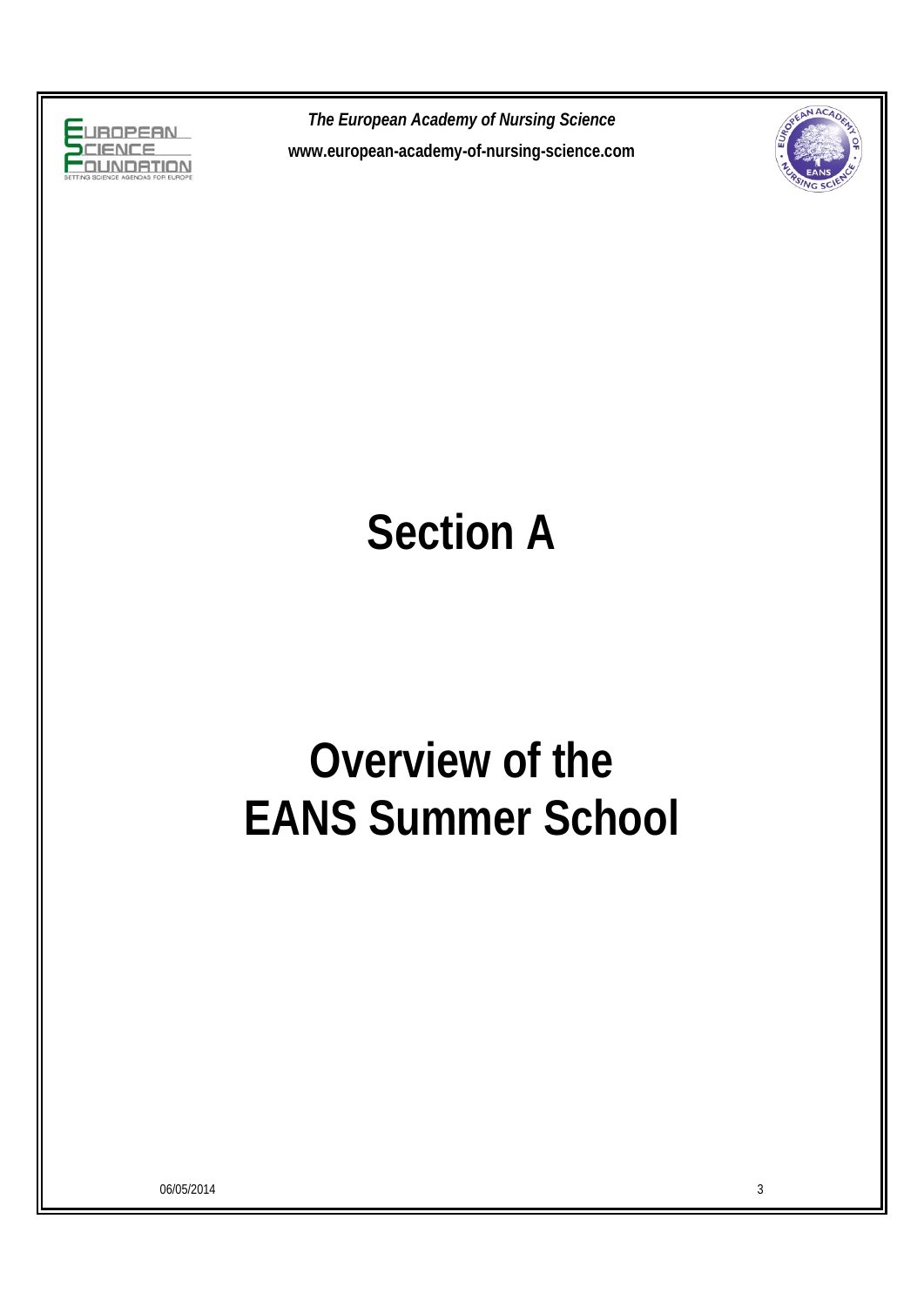



## **Section A**

## **Overview of the EANS Summer School**

06/05/2014 3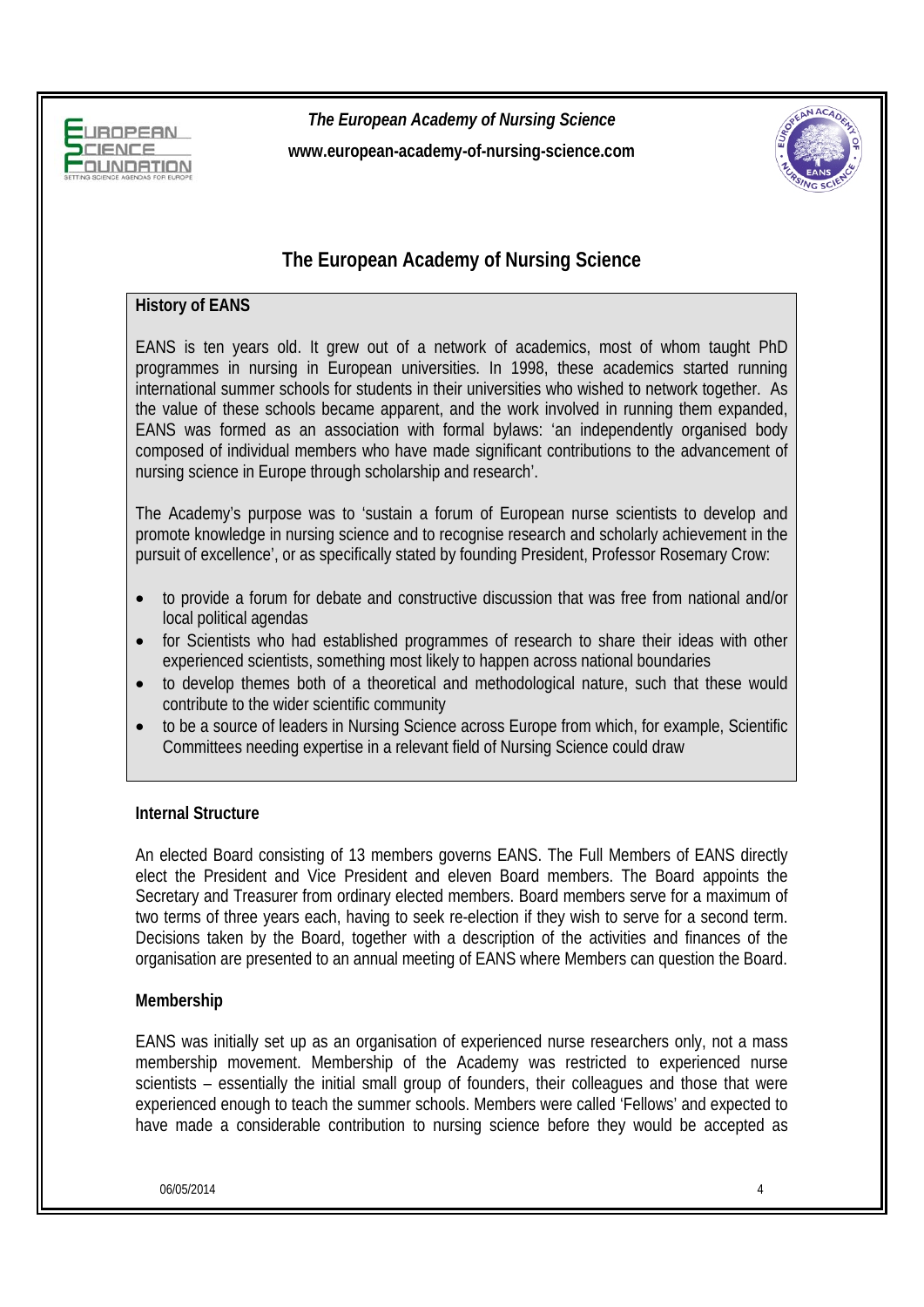



## **The European Academy of Nursing Science**

### **History of EANS**

EANS is ten years old. It grew out of a network of academics, most of whom taught PhD programmes in nursing in European universities. In 1998, these academics started running international summer schools for students in their universities who wished to network together. As the value of these schools became apparent, and the work involved in running them expanded, EANS was formed as an association with formal bylaws: 'an independently organised body composed of individual members who have made significant contributions to the advancement of nursing science in Europe through scholarship and research'.

The Academy's purpose was to 'sustain a forum of European nurse scientists to develop and promote knowledge in nursing science and to recognise research and scholarly achievement in the pursuit of excellence', or as specifically stated by founding President, Professor Rosemary Crow:

- to provide a forum for debate and constructive discussion that was free from national and/or local political agendas
- for Scientists who had established programmes of research to share their ideas with other experienced scientists, something most likely to happen across national boundaries
- to develop themes both of a theoretical and methodological nature, such that these would contribute to the wider scientific community
- to be a source of leaders in Nursing Science across Europe from which, for example, Scientific Committees needing expertise in a relevant field of Nursing Science could draw

#### **Internal Structure**

An elected Board consisting of 13 members governs EANS. The Full Members of EANS directly elect the President and Vice President and eleven Board members. The Board appoints the Secretary and Treasurer from ordinary elected members. Board members serve for a maximum of two terms of three years each, having to seek re-election if they wish to serve for a second term. Decisions taken by the Board, together with a description of the activities and finances of the organisation are presented to an annual meeting of EANS where Members can question the Board.

### **Membership**

EANS was initially set up as an organisation of experienced nurse researchers only, not a mass membership movement. Membership of the Academy was restricted to experienced nurse scientists – essentially the initial small group of founders, their colleagues and those that were experienced enough to teach the summer schools. Members were called 'Fellows' and expected to have made a considerable contribution to nursing science before they would be accepted as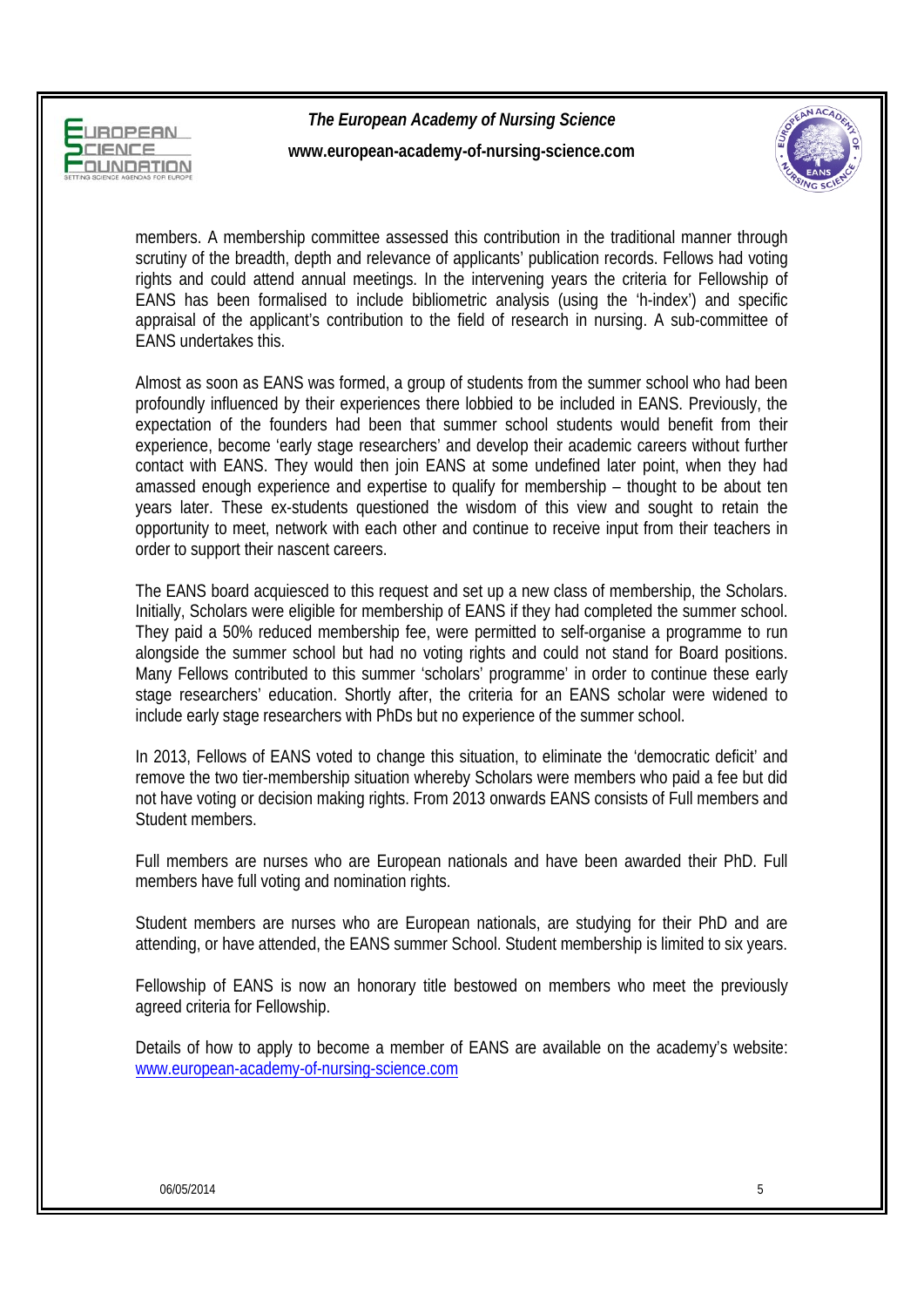



members. A membership committee assessed this contribution in the traditional manner through scrutiny of the breadth, depth and relevance of applicants' publication records. Fellows had voting rights and could attend annual meetings. In the intervening years the criteria for Fellowship of EANS has been formalised to include bibliometric analysis (using the 'h-index') and specific appraisal of the applicant's contribution to the field of research in nursing. A sub-committee of EANS undertakes this.

Almost as soon as EANS was formed, a group of students from the summer school who had been profoundly influenced by their experiences there lobbied to be included in EANS. Previously, the expectation of the founders had been that summer school students would benefit from their experience, become 'early stage researchers' and develop their academic careers without further contact with EANS. They would then join EANS at some undefined later point, when they had amassed enough experience and expertise to qualify for membership – thought to be about ten years later. These ex-students questioned the wisdom of this view and sought to retain the opportunity to meet, network with each other and continue to receive input from their teachers in order to support their nascent careers.

The EANS board acquiesced to this request and set up a new class of membership, the Scholars. Initially, Scholars were eligible for membership of EANS if they had completed the summer school. They paid a 50% reduced membership fee, were permitted to self-organise a programme to run alongside the summer school but had no voting rights and could not stand for Board positions. Many Fellows contributed to this summer 'scholars' programme' in order to continue these early stage researchers' education. Shortly after, the criteria for an EANS scholar were widened to include early stage researchers with PhDs but no experience of the summer school.

In 2013, Fellows of EANS voted to change this situation, to eliminate the 'democratic deficit' and remove the two tier-membership situation whereby Scholars were members who paid a fee but did not have voting or decision making rights. From 2013 onwards EANS consists of Full members and Student members.

Full members are nurses who are European nationals and have been awarded their PhD. Full members have full voting and nomination rights.

Student members are nurses who are European nationals, are studying for their PhD and are attending, or have attended, the EANS summer School. Student membership is limited to six years.

Fellowship of EANS is now an honorary title bestowed on members who meet the previously agreed criteria for Fellowship.

Details of how to apply to become a member of EANS are available on the academy's website: www.european-academy-of-nursing-science.com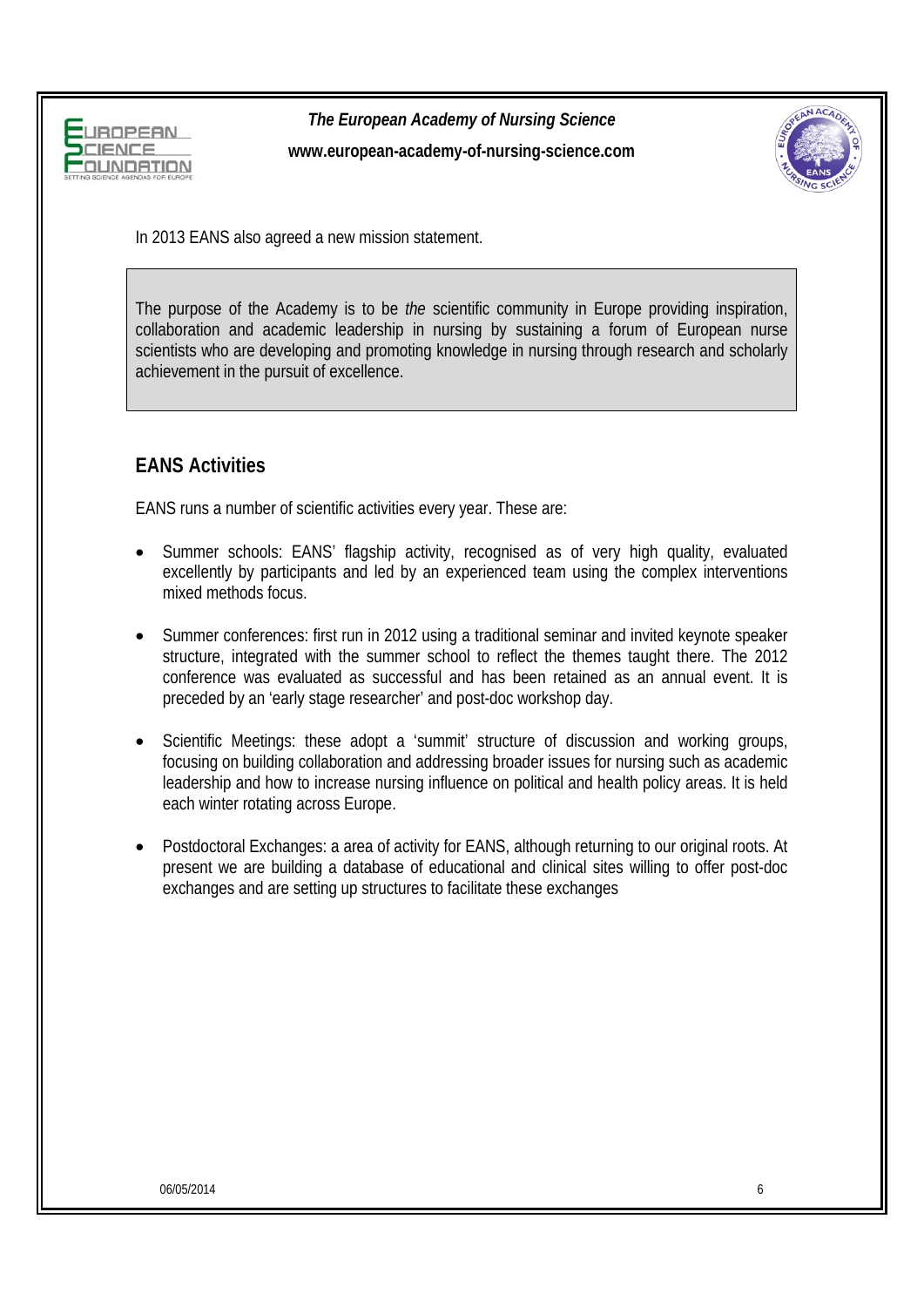



In 2013 EANS also agreed a new mission statement.

The purpose of the Academy is to be *the* scientific community in Europe providing inspiration, collaboration and academic leadership in nursing by sustaining a forum of European nurse scientists who are developing and promoting knowledge in nursing through research and scholarly achievement in the pursuit of excellence.

## **EANS Activities**

EANS runs a number of scientific activities every year. These are:

- Summer schools: EANS' flagship activity, recognised as of very high quality, evaluated excellently by participants and led by an experienced team using the complex interventions mixed methods focus.
- Summer conferences: first run in 2012 using a traditional seminar and invited keynote speaker structure, integrated with the summer school to reflect the themes taught there. The 2012 conference was evaluated as successful and has been retained as an annual event. It is preceded by an 'early stage researcher' and post-doc workshop day.
- Scientific Meetings: these adopt a 'summit' structure of discussion and working groups, focusing on building collaboration and addressing broader issues for nursing such as academic leadership and how to increase nursing influence on political and health policy areas. It is held each winter rotating across Europe.
- Postdoctoral Exchanges: a area of activity for EANS, although returning to our original roots. At present we are building a database of educational and clinical sites willing to offer post-doc exchanges and are setting up structures to facilitate these exchanges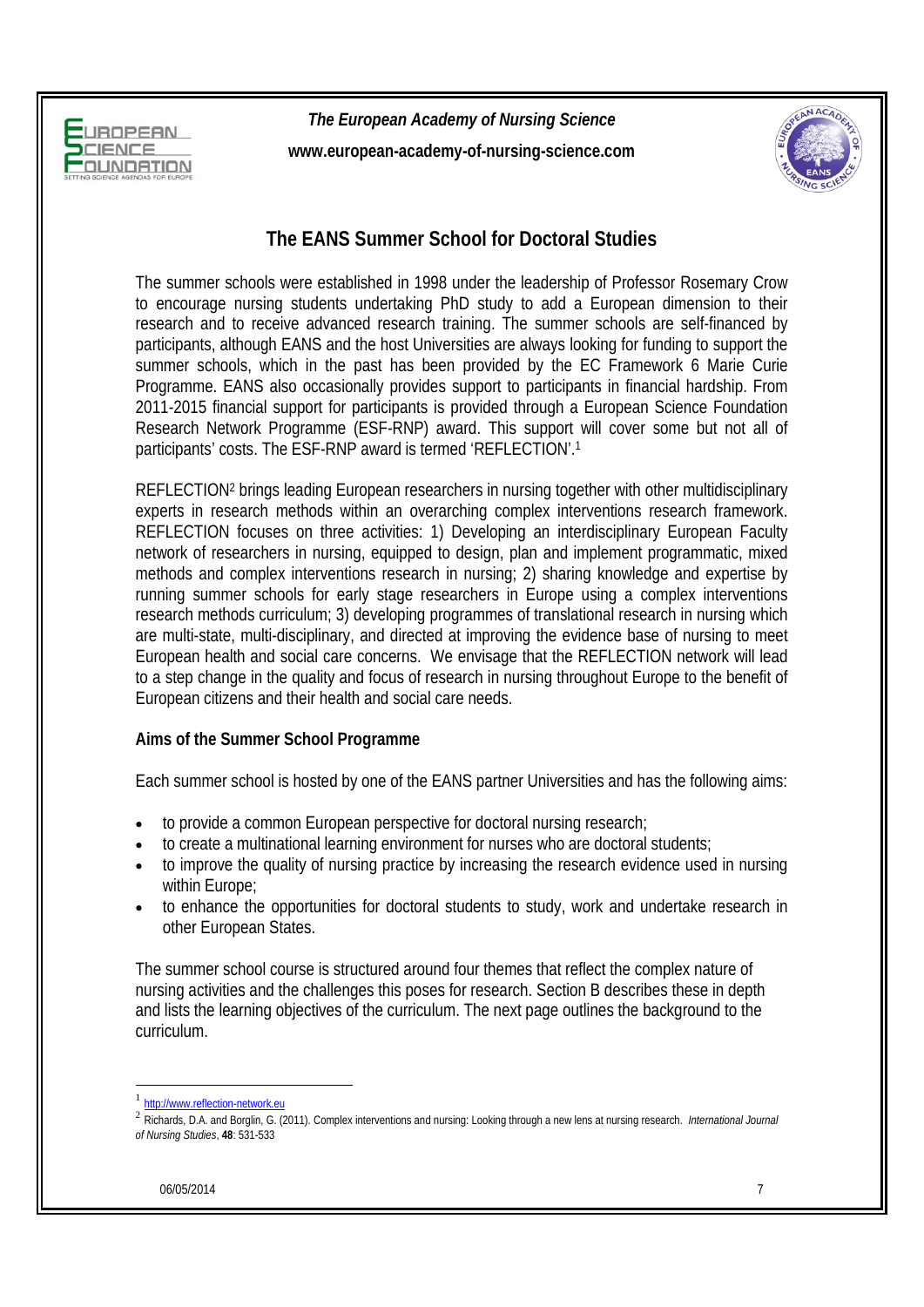



## **The EANS Summer School for Doctoral Studies**

The summer schools were established in 1998 under the leadership of Professor Rosemary Crow to encourage nursing students undertaking PhD study to add a European dimension to their research and to receive advanced research training. The summer schools are self-financed by participants, although EANS and the host Universities are always looking for funding to support the summer schools, which in the past has been provided by the EC Framework 6 Marie Curie Programme. EANS also occasionally provides support to participants in financial hardship. From 2011-2015 financial support for participants is provided through a European Science Foundation Research Network Programme (ESF-RNP) award. This support will cover some but not all of participants' costs. The ESF-RNP award is termed 'REFLECTION'.1

REFLECTION2 brings leading European researchers in nursing together with other multidisciplinary experts in research methods within an overarching complex interventions research framework. REFLECTION focuses on three activities: 1) Developing an interdisciplinary European Faculty network of researchers in nursing, equipped to design, plan and implement programmatic, mixed methods and complex interventions research in nursing; 2) sharing knowledge and expertise by running summer schools for early stage researchers in Europe using a complex interventions research methods curriculum; 3) developing programmes of translational research in nursing which are multi-state, multi-disciplinary, and directed at improving the evidence base of nursing to meet European health and social care concerns. We envisage that the REFLECTION network will lead to a step change in the quality and focus of research in nursing throughout Europe to the benefit of European citizens and their health and social care needs.

### **Aims of the Summer School Programme**

Each summer school is hosted by one of the EANS partner Universities and has the following aims:

- to provide a common European perspective for doctoral nursing research;
- to create a multinational learning environment for nurses who are doctoral students;
- to improve the quality of nursing practice by increasing the research evidence used in nursing within Europe;
- to enhance the opportunities for doctoral students to study, work and undertake research in other European States.

The summer school course is structured around four themes that reflect the complex nature of nursing activities and the challenges this poses for research. Section B describes these in depth and lists the learning objectives of the curriculum. The next page outlines the background to the curriculum.

-

http://www.reflection-network.eu

<sup>2</sup> Richards, D.A. and Borglin, G. (2011). Complex interventions and nursing: Looking through a new lens at nursing research. *International Journal of Nursing Studies*, **48**: 531-533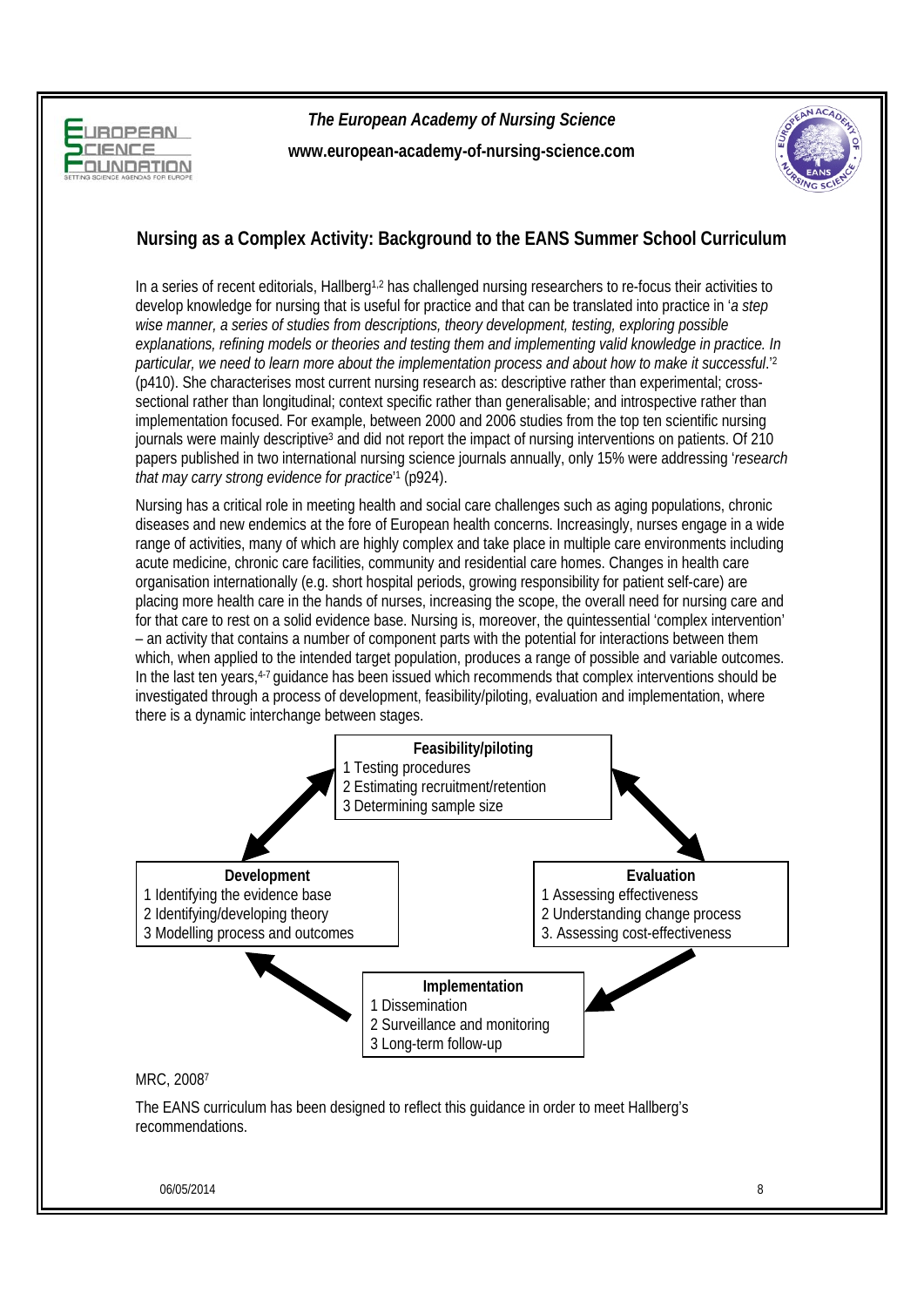



## **Nursing as a Complex Activity: Background to the EANS Summer School Curriculum**

In a series of recent editorials, Hallberg<sup>1,2</sup> has challenged nursing researchers to re-focus their activities to develop knowledge for nursing that is useful for practice and that can be translated into practice in '*a step wise manner, a series of studies from descriptions, theory development, testing, exploring possible explanations, refining models or theories and testing them and implementing valid knowledge in practice. In particular, we need to learn more about the implementation process and about how to make it successful*.'2 (p410). She characterises most current nursing research as: descriptive rather than experimental; crosssectional rather than longitudinal; context specific rather than generalisable; and introspective rather than implementation focused. For example, between 2000 and 2006 studies from the top ten scientific nursing journals were mainly descriptive<sup>3</sup> and did not report the impact of nursing interventions on patients. Of 210 papers published in two international nursing science journals annually, only 15% were addressing '*research that may carry strong evidence for practice*' 1 (p924).

Nursing has a critical role in meeting health and social care challenges such as aging populations, chronic diseases and new endemics at the fore of European health concerns. Increasingly, nurses engage in a wide range of activities, many of which are highly complex and take place in multiple care environments including acute medicine, chronic care facilities, community and residential care homes. Changes in health care organisation internationally (e.g. short hospital periods, growing responsibility for patient self-care) are placing more health care in the hands of nurses, increasing the scope, the overall need for nursing care and for that care to rest on a solid evidence base. Nursing is, moreover, the quintessential 'complex intervention' – an activity that contains a number of component parts with the potential for interactions between them which, when applied to the intended target population, produces a range of possible and variable outcomes. In the last ten years,<sup>4-7</sup> quidance has been issued which recommends that complex interventions should be investigated through a process of development, feasibility/piloting, evaluation and implementation, where there is a dynamic interchange between stages.



The EANS curriculum has been designed to reflect this guidance in order to meet Hallberg's recommendations.

06/05/2014 8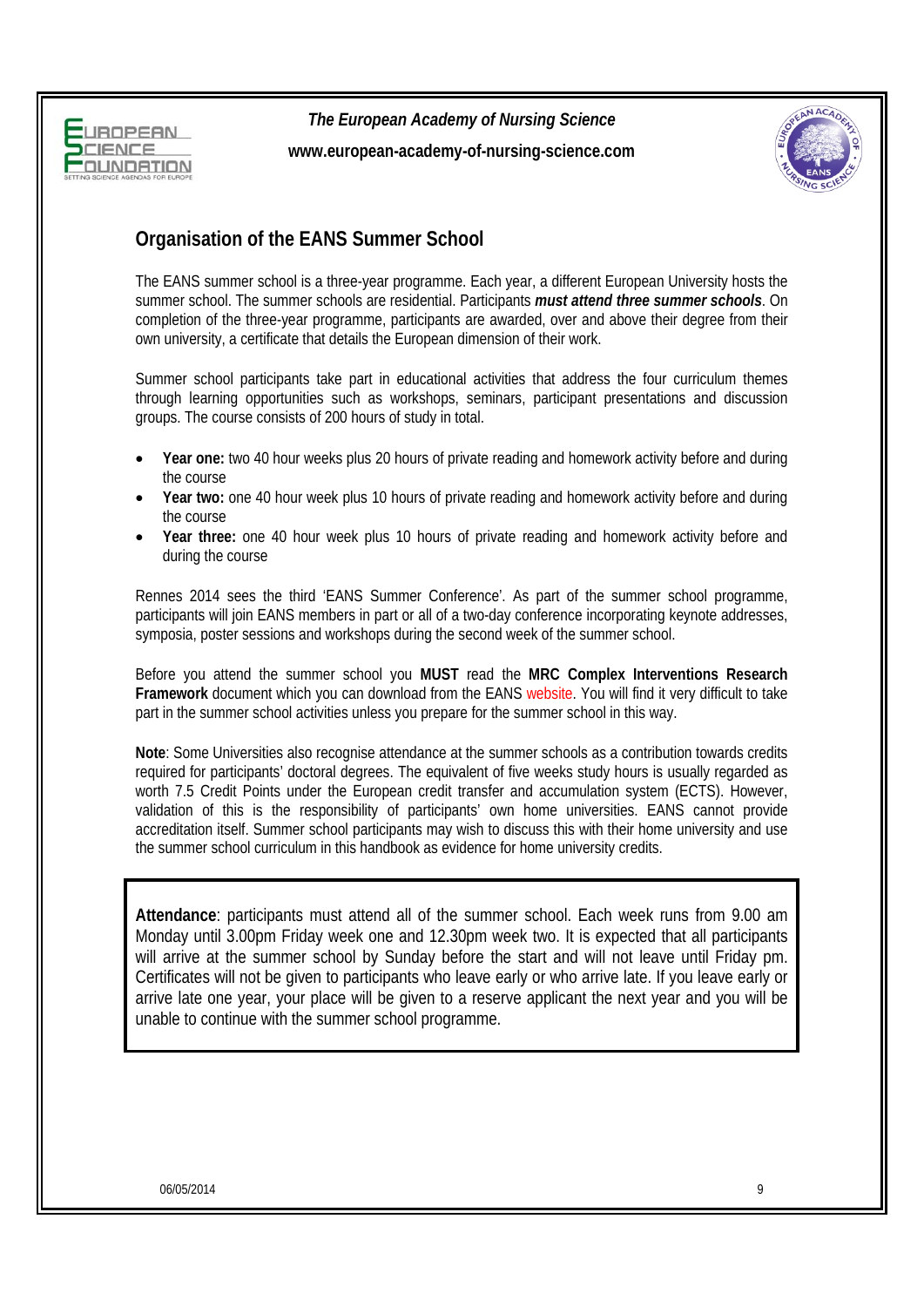



## **Organisation of the EANS Summer School**

The EANS summer school is a three-year programme. Each year, a different European University hosts the summer school. The summer schools are residential. Participants *must attend three summer schools*. On completion of the three-year programme, participants are awarded, over and above their degree from their own university, a certificate that details the European dimension of their work.

Summer school participants take part in educational activities that address the four curriculum themes through learning opportunities such as workshops, seminars, participant presentations and discussion groups. The course consists of 200 hours of study in total.

- **Year one:** two 40 hour weeks plus 20 hours of private reading and homework activity before and during the course
- **Year two:** one 40 hour week plus 10 hours of private reading and homework activity before and during the course
- **Year three:** one 40 hour week plus 10 hours of private reading and homework activity before and during the course

Rennes 2014 sees the third 'EANS Summer Conference'. As part of the summer school programme, participants will join EANS members in part or all of a two-day conference incorporating keynote addresses, symposia, poster sessions and workshops during the second week of the summer school.

Before you attend the summer school you **MUST** read the **MRC Complex Interventions Research Framework** document which you can download from the EANS [website.](http://www.european-academy-of-nursing-science.com/activities/summer-schools/) You will find it very difficult to take part in the summer school activities unless you prepare for the summer school in this way.

**Note**: Some Universities also recognise attendance at the summer schools as a contribution towards credits required for participants' doctoral degrees. The equivalent of five weeks study hours is usually regarded as worth 7.5 Credit Points under the European credit transfer and accumulation system (ECTS). However, validation of this is the responsibility of participants' own home universities. EANS cannot provide accreditation itself. Summer school participants may wish to discuss this with their home university and use the summer school curriculum in this handbook as evidence for home university credits.

**Attendance**: participants must attend all of the summer school. Each week runs from 9.00 am Monday until 3.00pm Friday week one and 12.30pm week two. It is expected that all participants will arrive at the summer school by Sunday before the start and will not leave until Friday pm. Certificates will not be given to participants who leave early or who arrive late. If you leave early or arrive late one year, your place will be given to a reserve applicant the next year and you will be unable to continue with the summer school programme.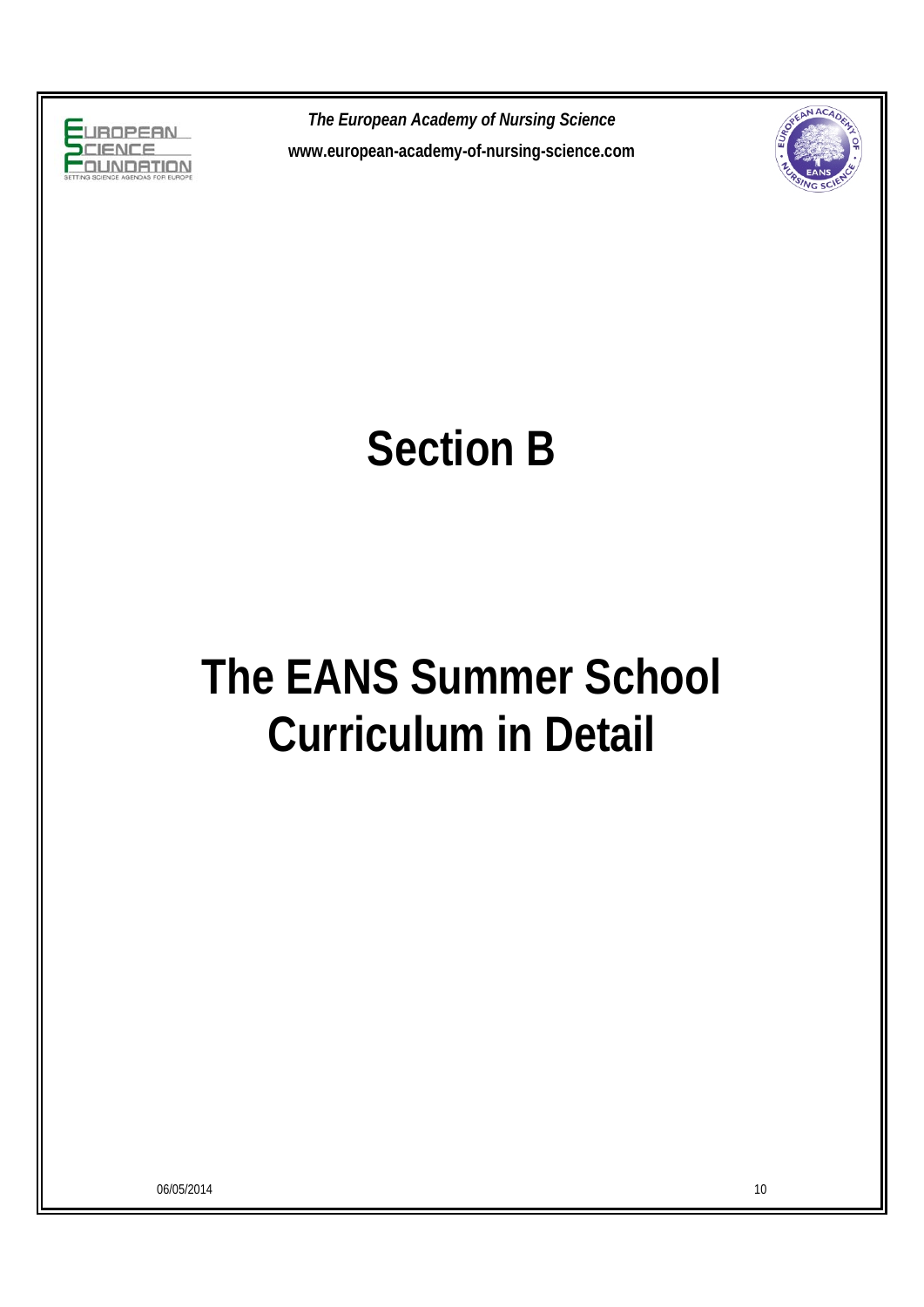



## **Section B**

## **The EANS Summer School Curriculum in Detail**

06/05/2014 10 10:00 10:00 10:00 10:00 10:00 10:00 10:00 10:00 10:00 10:00 10:00 10:00 10:00 10:00 10:00 10:00 10:00 10:00 10:00 10:00 10:00 10:00 10:00 10:00 10:00 10:00 10:00 10:00 10:00 10:00 10:00 10:00 10:00 10:00 10:0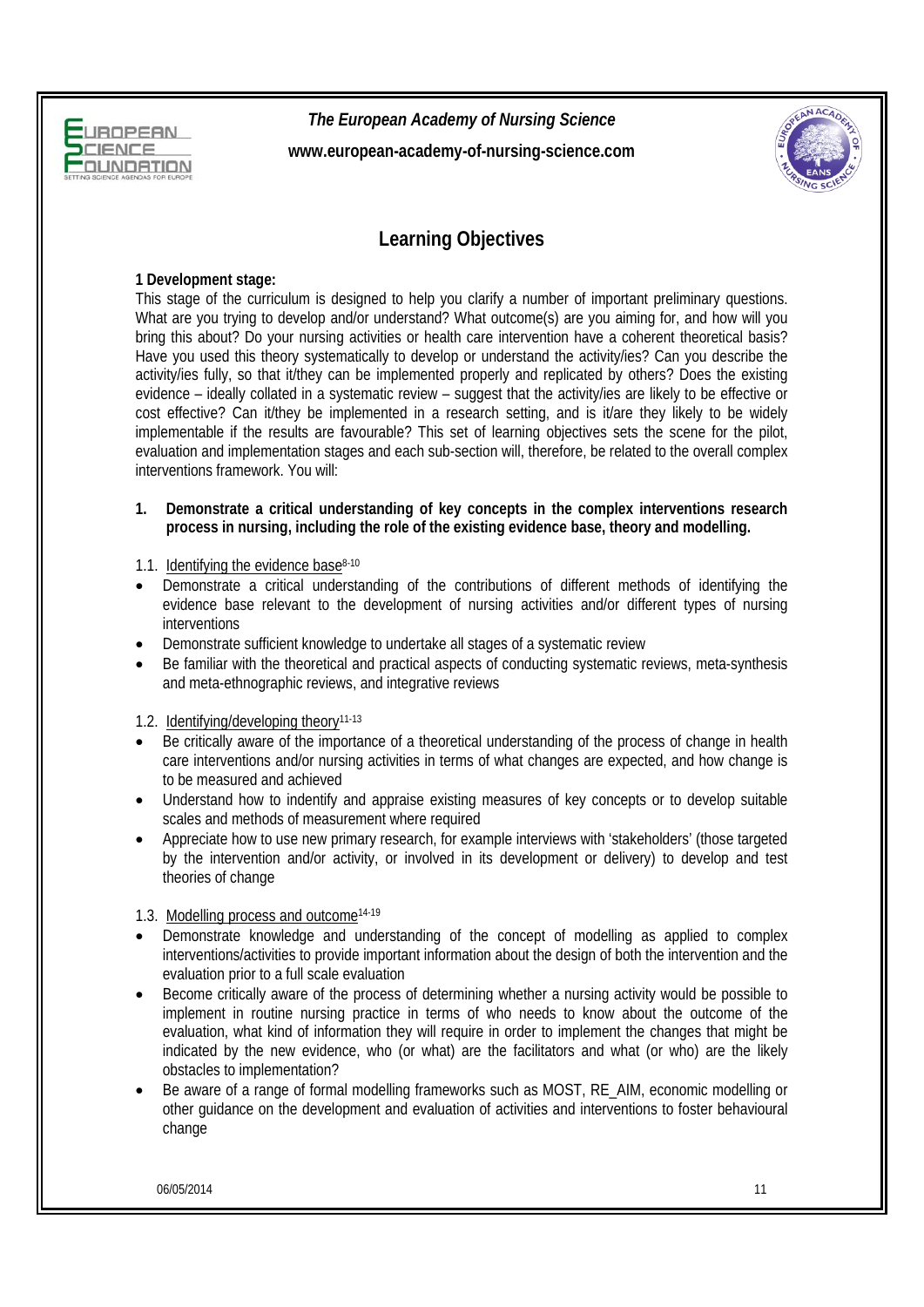



## **Learning Objectives**

#### **1 Development stage:**

This stage of the curriculum is designed to help you clarify a number of important preliminary questions. What are you trying to develop and/or understand? What outcome(s) are you aiming for, and how will you bring this about? Do your nursing activities or health care intervention have a coherent theoretical basis? Have you used this theory systematically to develop or understand the activity/ies? Can you describe the activity/ies fully, so that it/they can be implemented properly and replicated by others? Does the existing evidence – ideally collated in a systematic review – suggest that the activity/ies are likely to be effective or cost effective? Can it/they be implemented in a research setting, and is it/are they likely to be widely implementable if the results are favourable? This set of learning objectives sets the scene for the pilot, evaluation and implementation stages and each sub-section will, therefore, be related to the overall complex interventions framework. You will:

**1. Demonstrate a critical understanding of key concepts in the complex interventions research process in nursing, including the role of the existing evidence base, theory and modelling.** 

1.1. Identifying the evidence base<sup>8-10</sup>

- Demonstrate a critical understanding of the contributions of different methods of identifying the evidence base relevant to the development of nursing activities and/or different types of nursing interventions
- Demonstrate sufficient knowledge to undertake all stages of a systematic review
- Be familiar with the theoretical and practical aspects of conducting systematic reviews, meta-synthesis and meta-ethnographic reviews, and integrative reviews

1.2. Identifying/developing theory<sup>11-13</sup>

- Be critically aware of the importance of a theoretical understanding of the process of change in health care interventions and/or nursing activities in terms of what changes are expected, and how change is to be measured and achieved
- Understand how to indentify and appraise existing measures of key concepts or to develop suitable scales and methods of measurement where required
- Appreciate how to use new primary research, for example interviews with 'stakeholders' (those targeted by the intervention and/or activity, or involved in its development or delivery) to develop and test theories of change

1.3. Modelling process and outcome14-19

- Demonstrate knowledge and understanding of the concept of modelling as applied to complex interventions/activities to provide important information about the design of both the intervention and the evaluation prior to a full scale evaluation
- Become critically aware of the process of determining whether a nursing activity would be possible to implement in routine nursing practice in terms of who needs to know about the outcome of the evaluation, what kind of information they will require in order to implement the changes that might be indicated by the new evidence, who (or what) are the facilitators and what (or who) are the likely obstacles to implementation?
- Be aware of a range of formal modelling frameworks such as MOST, RE\_AIM, economic modelling or other guidance on the development and evaluation of activities and interventions to foster behavioural change

06/05/2014 11 12:00:00 12:00 12:00 12:00 12:00 12:00 12:00 12:00 12:00 12:00 12:00 12:00 12:00 12:00 12:00 12:0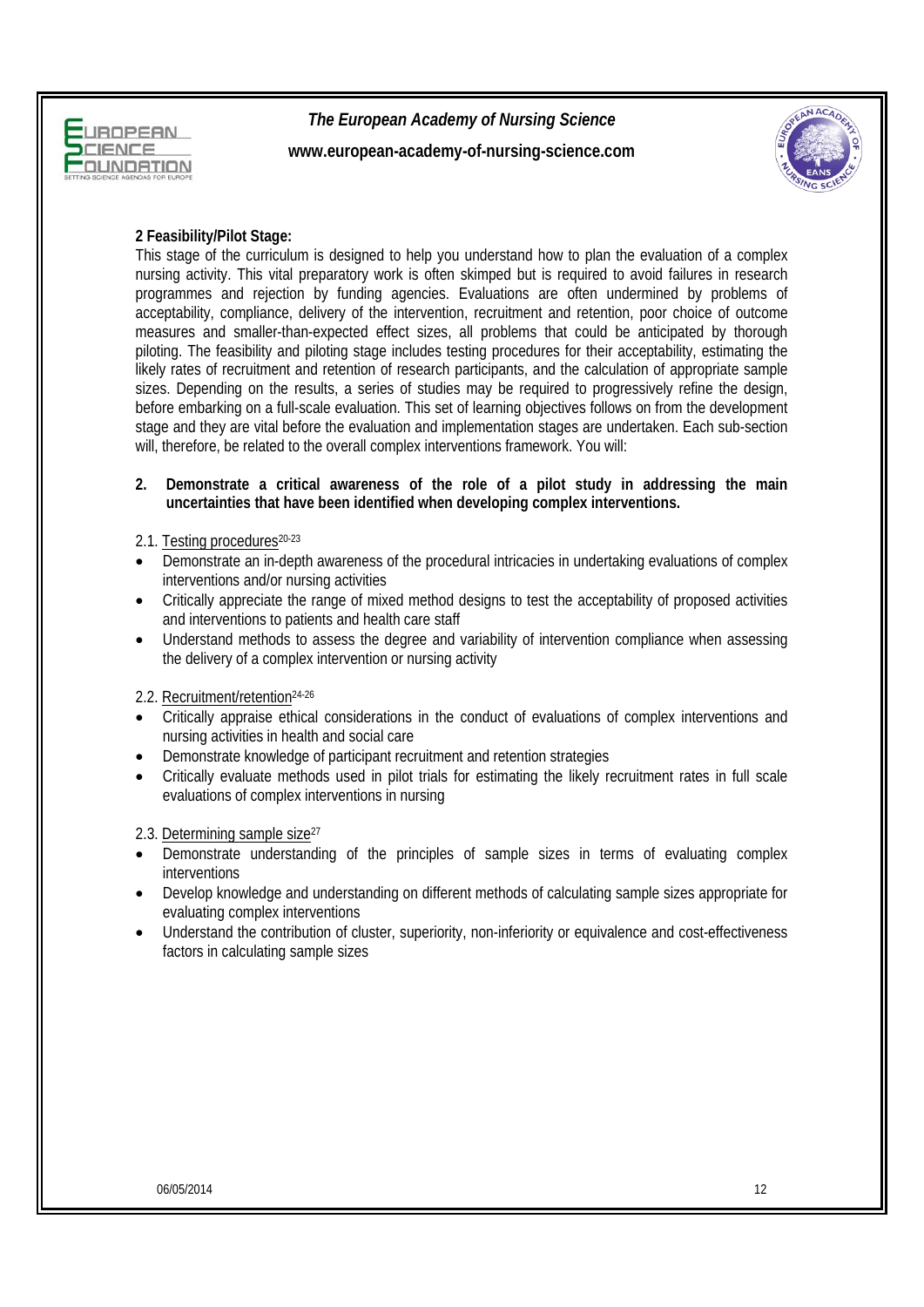



#### **2 Feasibility/Pilot Stage:**

This stage of the curriculum is designed to help you understand how to plan the evaluation of a complex nursing activity. This vital preparatory work is often skimped but is required to avoid failures in research programmes and rejection by funding agencies. Evaluations are often undermined by problems of acceptability, compliance, delivery of the intervention, recruitment and retention, poor choice of outcome measures and smaller-than-expected effect sizes, all problems that could be anticipated by thorough piloting. The feasibility and piloting stage includes testing procedures for their acceptability, estimating the likely rates of recruitment and retention of research participants, and the calculation of appropriate sample sizes. Depending on the results, a series of studies may be required to progressively refine the design, before embarking on a full-scale evaluation. This set of learning objectives follows on from the development stage and they are vital before the evaluation and implementation stages are undertaken. Each sub-section will, therefore, be related to the overall complex interventions framework. You will:

#### **2. Demonstrate a critical awareness of the role of a pilot study in addressing the main uncertainties that have been identified when developing complex interventions.**

2.1. Testing procedures<sup>20-23</sup>

- Demonstrate an in-depth awareness of the procedural intricacies in undertaking evaluations of complex interventions and/or nursing activities
- Critically appreciate the range of mixed method designs to test the acceptability of proposed activities and interventions to patients and health care staff
- Understand methods to assess the degree and variability of intervention compliance when assessing the delivery of a complex intervention or nursing activity

2.2. Recruitment/retention24-26

- Critically appraise ethical considerations in the conduct of evaluations of complex interventions and nursing activities in health and social care
- Demonstrate knowledge of participant recruitment and retention strategies
- Critically evaluate methods used in pilot trials for estimating the likely recruitment rates in full scale evaluations of complex interventions in nursing

2.3. Determining sample size<sup>27</sup>

- Demonstrate understanding of the principles of sample sizes in terms of evaluating complex interventions
- Develop knowledge and understanding on different methods of calculating sample sizes appropriate for evaluating complex interventions
- Understand the contribution of cluster, superiority, non-inferiority or equivalence and cost-effectiveness factors in calculating sample sizes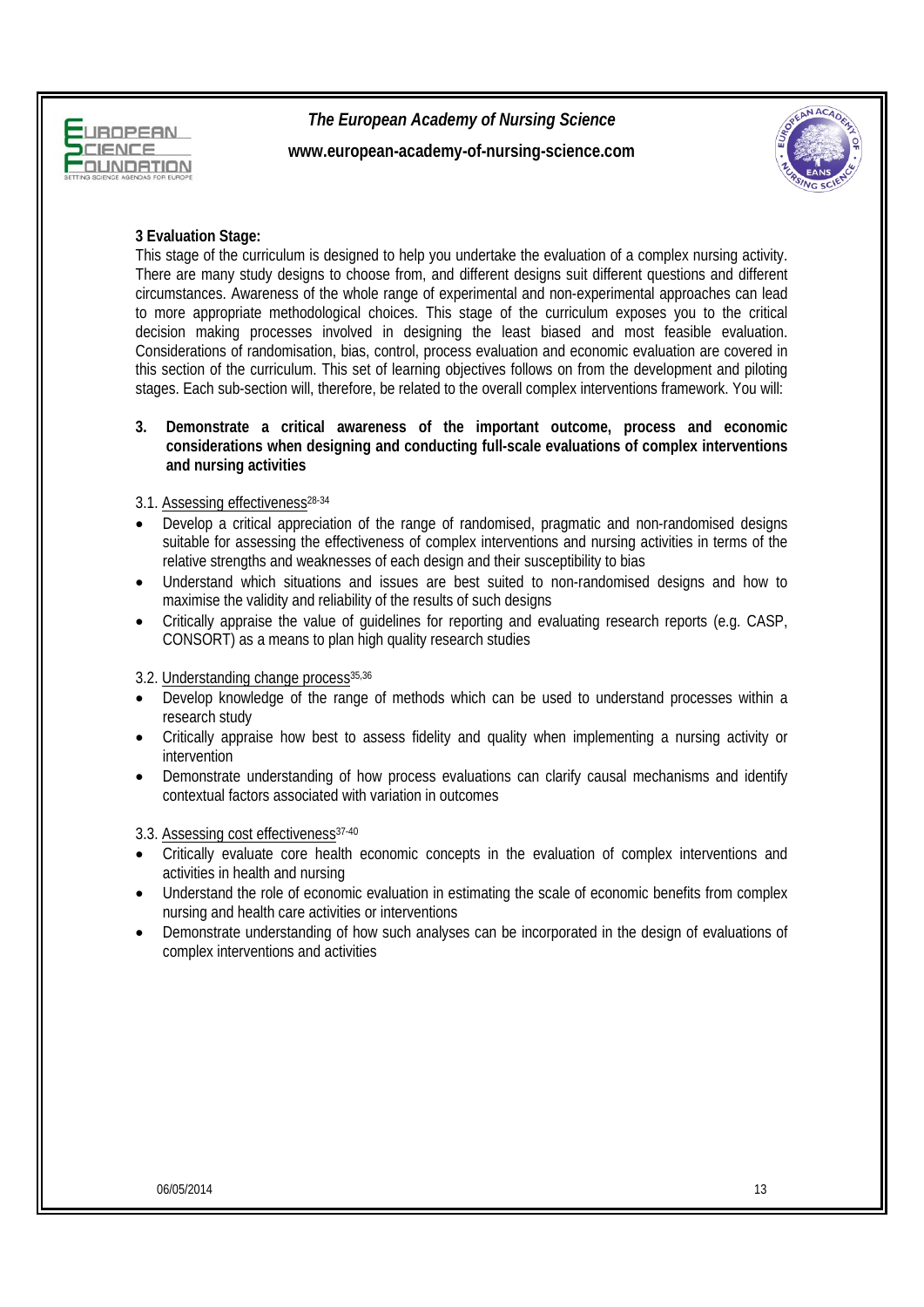



#### **3 Evaluation Stage:**

This stage of the curriculum is designed to help you undertake the evaluation of a complex nursing activity. There are many study designs to choose from, and different designs suit different questions and different circumstances. Awareness of the whole range of experimental and non-experimental approaches can lead to more appropriate methodological choices. This stage of the curriculum exposes you to the critical decision making processes involved in designing the least biased and most feasible evaluation. Considerations of randomisation, bias, control, process evaluation and economic evaluation are covered in this section of the curriculum. This set of learning objectives follows on from the development and piloting stages. Each sub-section will, therefore, be related to the overall complex interventions framework. You will:

**3. Demonstrate a critical awareness of the important outcome, process and economic considerations when designing and conducting full-scale evaluations of complex interventions and nursing activities** 

#### 3.1. Assessing effectiveness<sup>28-34</sup>

- Develop a critical appreciation of the range of randomised, pragmatic and non-randomised designs suitable for assessing the effectiveness of complex interventions and nursing activities in terms of the relative strengths and weaknesses of each design and their susceptibility to bias
- Understand which situations and issues are best suited to non-randomised designs and how to maximise the validity and reliability of the results of such designs
- Critically appraise the value of guidelines for reporting and evaluating research reports (e.g. CASP, CONSORT) as a means to plan high quality research studies

#### 3.2. Understanding change process<sup>35,36</sup>

- Develop knowledge of the range of methods which can be used to understand processes within a research study
- Critically appraise how best to assess fidelity and quality when implementing a nursing activity or intervention
- Demonstrate understanding of how process evaluations can clarify causal mechanisms and identify contextual factors associated with variation in outcomes

#### 3.3. Assessing cost effectiveness<sup>37-40</sup>

- Critically evaluate core health economic concepts in the evaluation of complex interventions and activities in health and nursing
- Understand the role of economic evaluation in estimating the scale of economic benefits from complex nursing and health care activities or interventions
- Demonstrate understanding of how such analyses can be incorporated in the design of evaluations of complex interventions and activities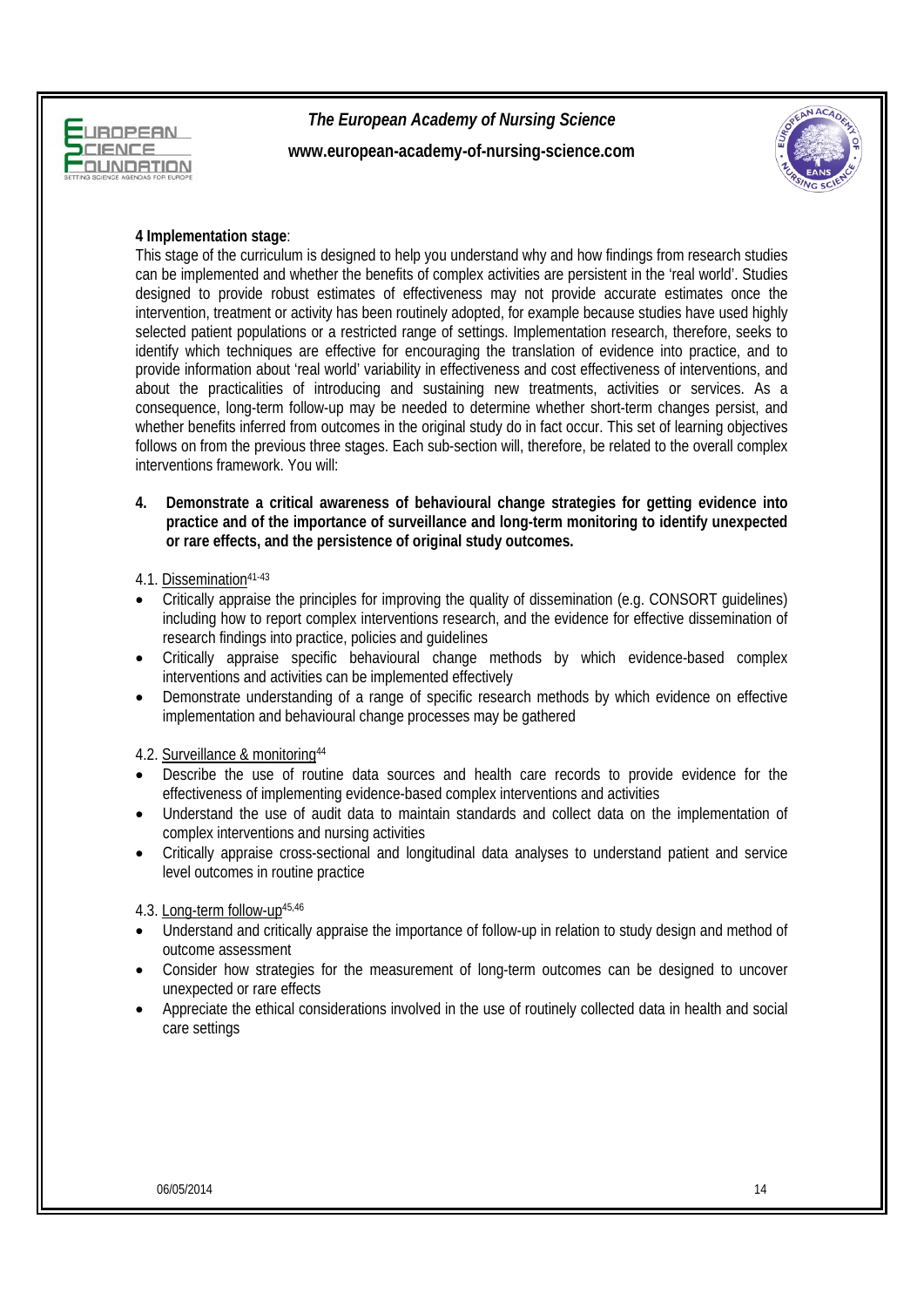



#### **4 Implementation stage**:

This stage of the curriculum is designed to help you understand why and how findings from research studies can be implemented and whether the benefits of complex activities are persistent in the 'real world'. Studies designed to provide robust estimates of effectiveness may not provide accurate estimates once the intervention, treatment or activity has been routinely adopted, for example because studies have used highly selected patient populations or a restricted range of settings. Implementation research, therefore, seeks to identify which techniques are effective for encouraging the translation of evidence into practice, and to provide information about 'real world' variability in effectiveness and cost effectiveness of interventions, and about the practicalities of introducing and sustaining new treatments, activities or services. As a consequence, long-term follow-up may be needed to determine whether short-term changes persist, and whether benefits inferred from outcomes in the original study do in fact occur. This set of learning objectives follows on from the previous three stages. Each sub-section will, therefore, be related to the overall complex interventions framework. You will:

**4. Demonstrate a critical awareness of behavioural change strategies for getting evidence into practice and of the importance of surveillance and long-term monitoring to identify unexpected or rare effects, and the persistence of original study outcomes.** 

4.1. Dissemination41-43

- Critically appraise the principles for improving the quality of dissemination (e.g. CONSORT guidelines) including how to report complex interventions research, and the evidence for effective dissemination of research findings into practice, policies and guidelines
- Critically appraise specific behavioural change methods by which evidence-based complex interventions and activities can be implemented effectively
- Demonstrate understanding of a range of specific research methods by which evidence on effective implementation and behavioural change processes may be gathered

4.2. Surveillance & monitoring44

- Describe the use of routine data sources and health care records to provide evidence for the effectiveness of implementing evidence-based complex interventions and activities
- Understand the use of audit data to maintain standards and collect data on the implementation of complex interventions and nursing activities
- Critically appraise cross-sectional and longitudinal data analyses to understand patient and service level outcomes in routine practice

4.3. Long-term follow-up45,46

- Understand and critically appraise the importance of follow-up in relation to study design and method of outcome assessment
- Consider how strategies for the measurement of long-term outcomes can be designed to uncover unexpected or rare effects
- Appreciate the ethical considerations involved in the use of routinely collected data in health and social care settings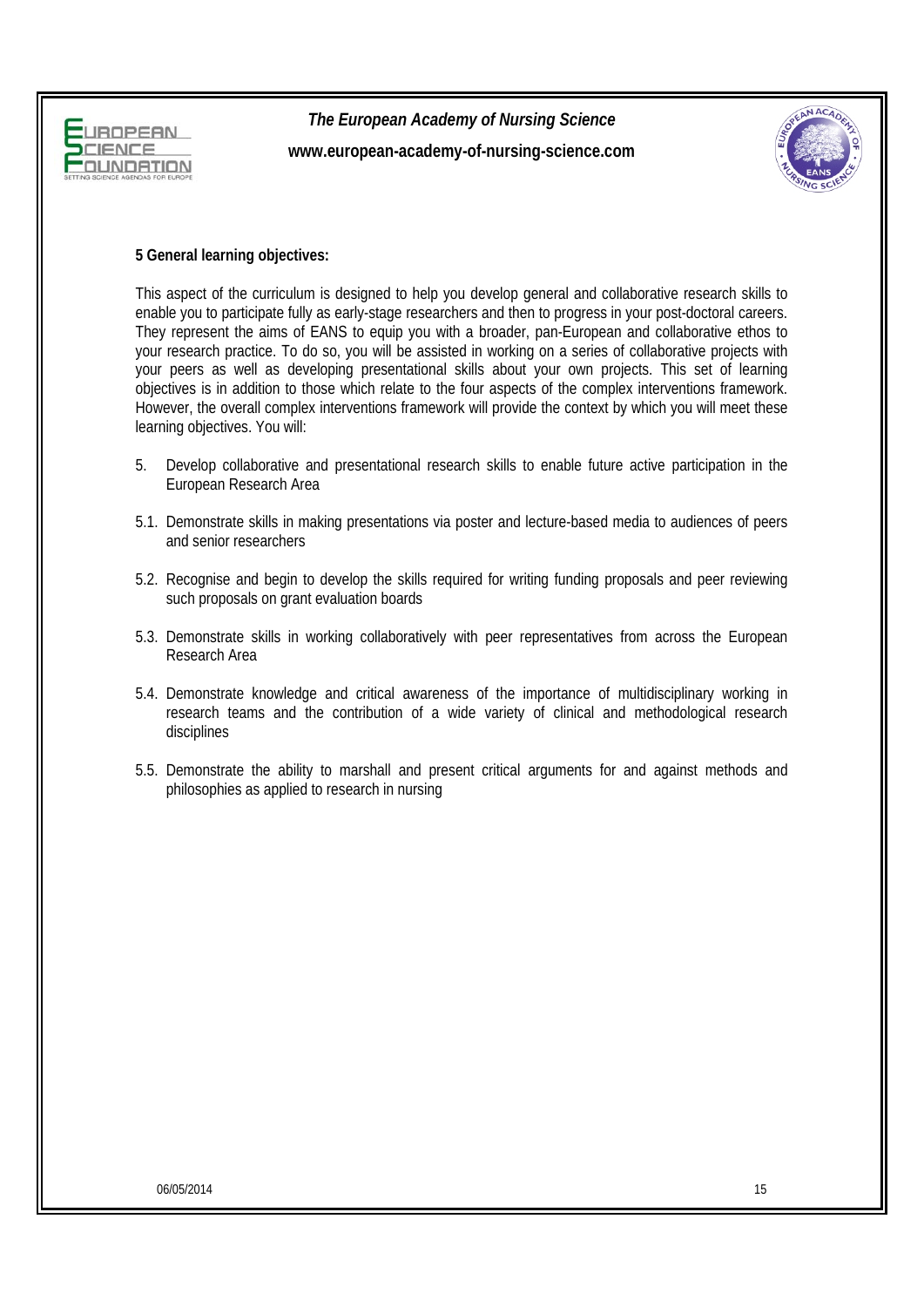



#### **5 General learning objectives:**

This aspect of the curriculum is designed to help you develop general and collaborative research skills to enable you to participate fully as early-stage researchers and then to progress in your post-doctoral careers. They represent the aims of EANS to equip you with a broader, pan-European and collaborative ethos to your research practice. To do so, you will be assisted in working on a series of collaborative projects with your peers as well as developing presentational skills about your own projects. This set of learning objectives is in addition to those which relate to the four aspects of the complex interventions framework. However, the overall complex interventions framework will provide the context by which you will meet these learning objectives. You will:

- 5. Develop collaborative and presentational research skills to enable future active participation in the European Research Area
- 5.1. Demonstrate skills in making presentations via poster and lecture-based media to audiences of peers and senior researchers
- 5.2. Recognise and begin to develop the skills required for writing funding proposals and peer reviewing such proposals on grant evaluation boards
- 5.3. Demonstrate skills in working collaboratively with peer representatives from across the European Research Area
- 5.4. Demonstrate knowledge and critical awareness of the importance of multidisciplinary working in research teams and the contribution of a wide variety of clinical and methodological research disciplines
- 5.5. Demonstrate the ability to marshall and present critical arguments for and against methods and philosophies as applied to research in nursing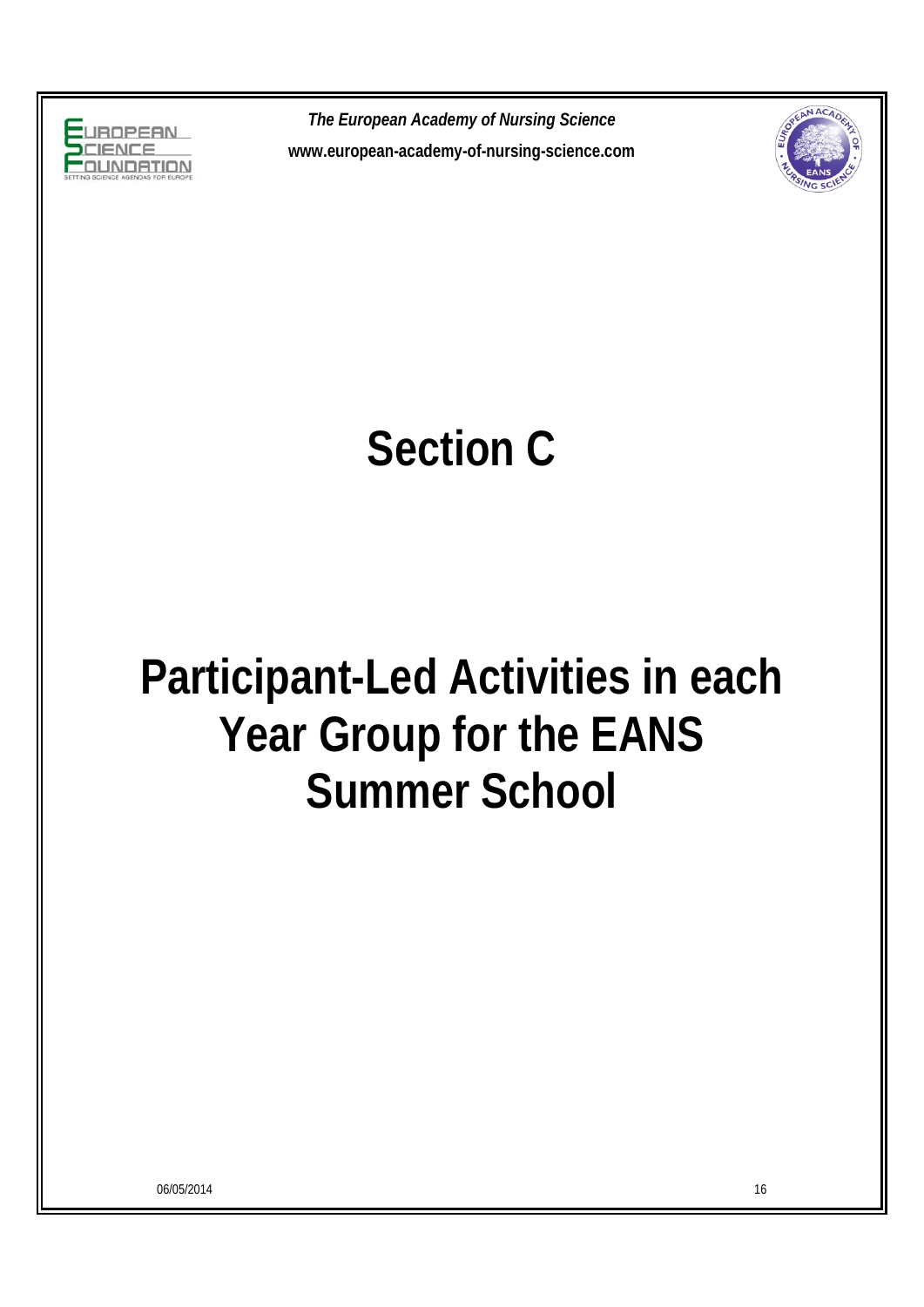



## **Section C**

## **Participant-Led Activities in each Year Group for the EANS Summer School**

06/05/2014 16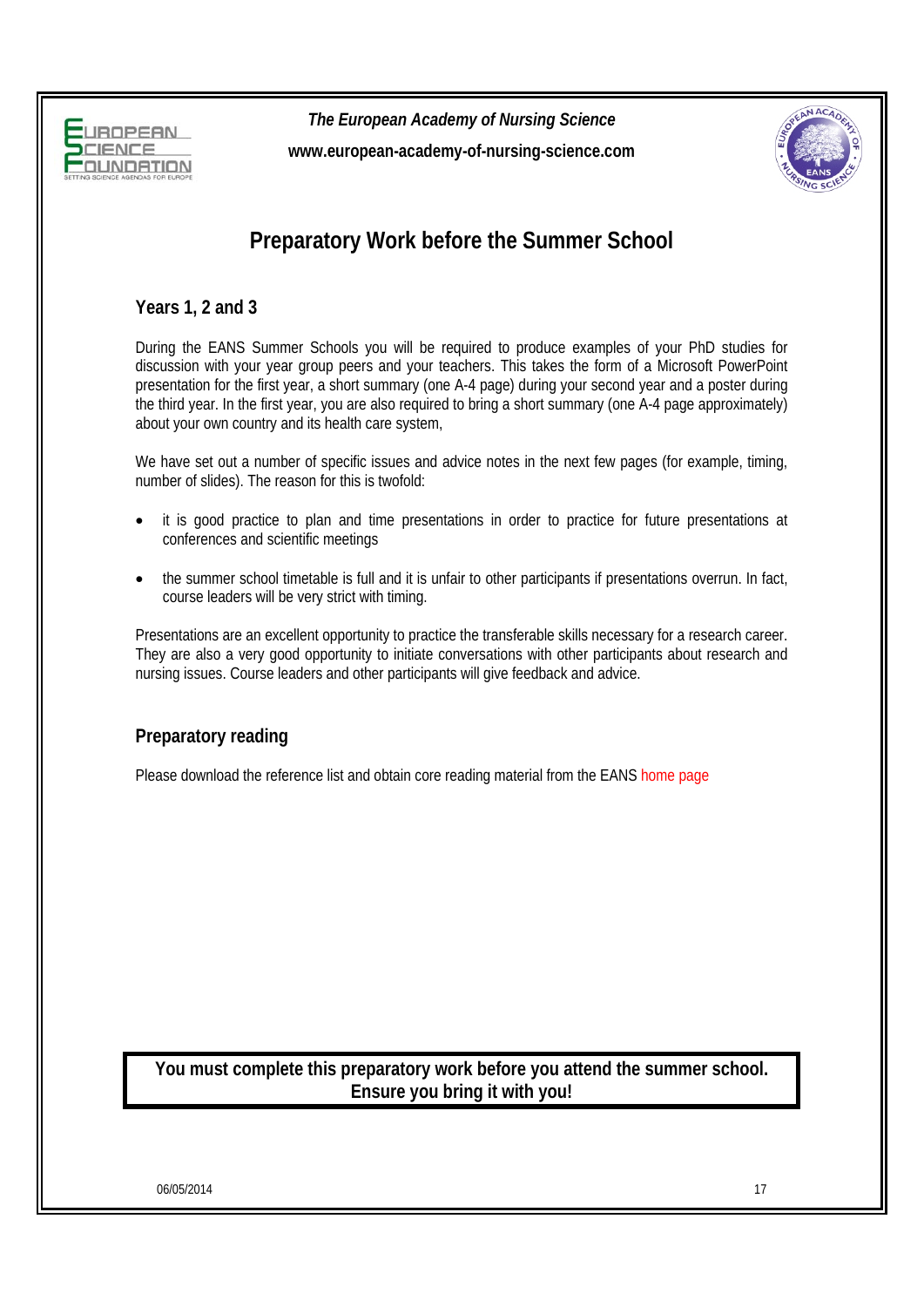



## **Preparatory Work before the Summer School**

## **Years 1, 2 and 3**

During the EANS Summer Schools you will be required to produce examples of your PhD studies for discussion with your year group peers and your teachers. This takes the form of a Microsoft PowerPoint presentation for the first year, a short summary (one A-4 page) during your second year and a poster during the third year. In the first year, you are also required to bring a short summary (one A-4 page approximately) about your own country and its health care system,

We have set out a number of specific issues and advice notes in the next few pages (for example, timing, number of slides). The reason for this is twofold:

- it is good practice to plan and time presentations in order to practice for future presentations at conferences and scientific meetings
- the summer school timetable is full and it is unfair to other participants if presentations overrun. In fact, course leaders will be very strict with timing.

Presentations are an excellent opportunity to practice the transferable skills necessary for a research career. They are also a very good opportunity to initiate conversations with other participants about research and nursing issues. Course leaders and other participants will give feedback and advice.

## **Preparatory reading**

Please download the reference list and obtain core reading material from the EANS [home page](http://www.european-academy-of-nursing-science.com/activities/summer-schools/)

**You must complete this preparatory work before you attend the summer school. Ensure you bring it with you!**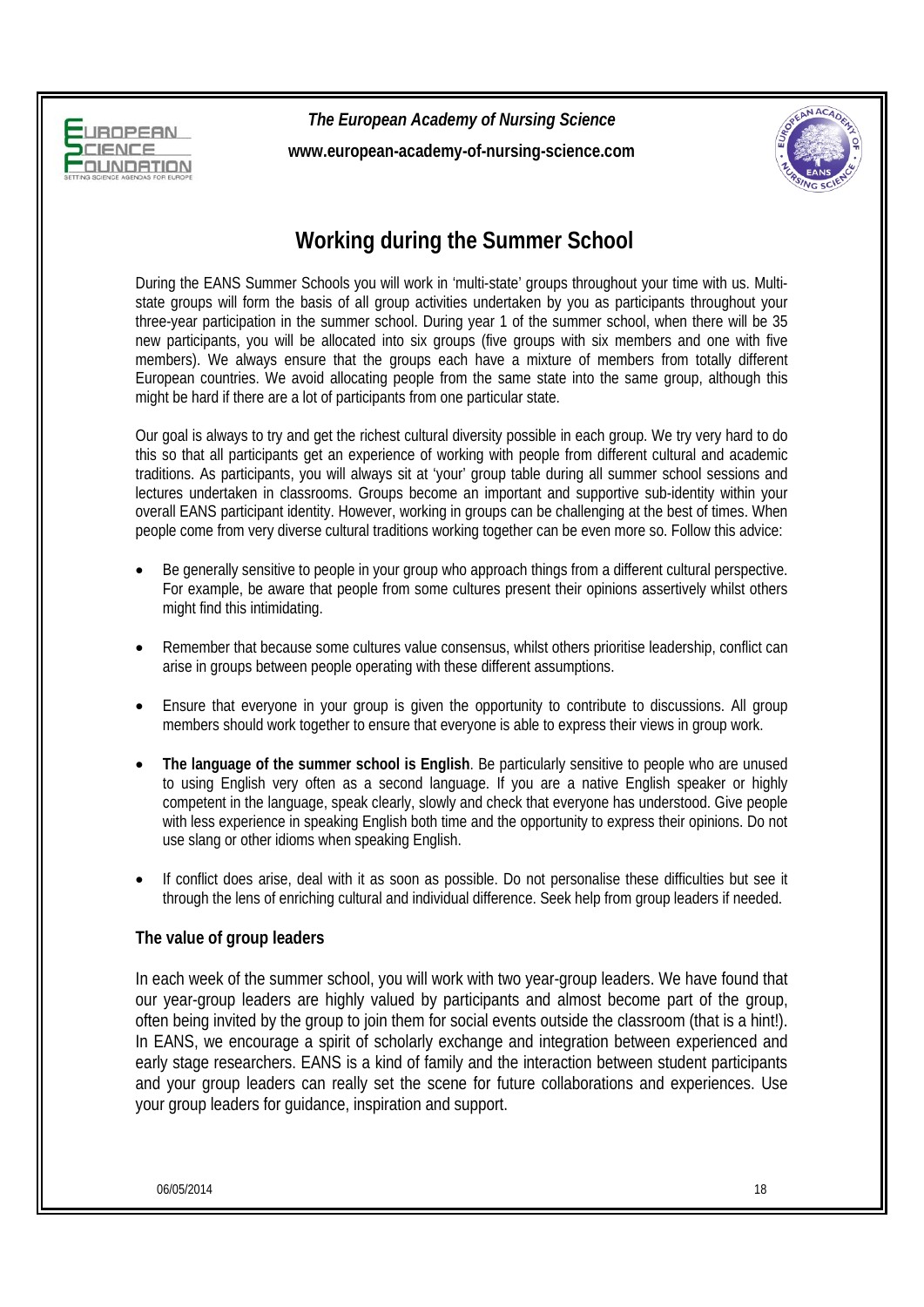



## **Working during the Summer School**

During the EANS Summer Schools you will work in 'multi-state' groups throughout your time with us. Multistate groups will form the basis of all group activities undertaken by you as participants throughout your three-year participation in the summer school. During year 1 of the summer school, when there will be 35 new participants, you will be allocated into six groups (five groups with six members and one with five members). We always ensure that the groups each have a mixture of members from totally different European countries. We avoid allocating people from the same state into the same group, although this might be hard if there are a lot of participants from one particular state.

Our goal is always to try and get the richest cultural diversity possible in each group. We try very hard to do this so that all participants get an experience of working with people from different cultural and academic traditions. As participants, you will always sit at 'your' group table during all summer school sessions and lectures undertaken in classrooms. Groups become an important and supportive sub-identity within your overall EANS participant identity. However, working in groups can be challenging at the best of times. When people come from very diverse cultural traditions working together can be even more so. Follow this advice:

- Be generally sensitive to people in your group who approach things from a different cultural perspective. For example, be aware that people from some cultures present their opinions assertively whilst others might find this intimidating.
- Remember that because some cultures value consensus, whilst others prioritise leadership, conflict can arise in groups between people operating with these different assumptions.
- Ensure that everyone in your group is given the opportunity to contribute to discussions. All group members should work together to ensure that everyone is able to express their views in group work.
- **The language of the summer school is English**. Be particularly sensitive to people who are unused to using English very often as a second language. If you are a native English speaker or highly competent in the language, speak clearly, slowly and check that everyone has understood. Give people with less experience in speaking English both time and the opportunity to express their opinions. Do not use slang or other idioms when speaking English.
- If conflict does arise, deal with it as soon as possible. Do not personalise these difficulties but see it through the lens of enriching cultural and individual difference. Seek help from group leaders if needed.

### **The value of group leaders**

In each week of the summer school, you will work with two year-group leaders. We have found that our year-group leaders are highly valued by participants and almost become part of the group, often being invited by the group to join them for social events outside the classroom (that is a hint!). In EANS, we encourage a spirit of scholarly exchange and integration between experienced and early stage researchers. EANS is a kind of family and the interaction between student participants and your group leaders can really set the scene for future collaborations and experiences. Use your group leaders for guidance, inspiration and support.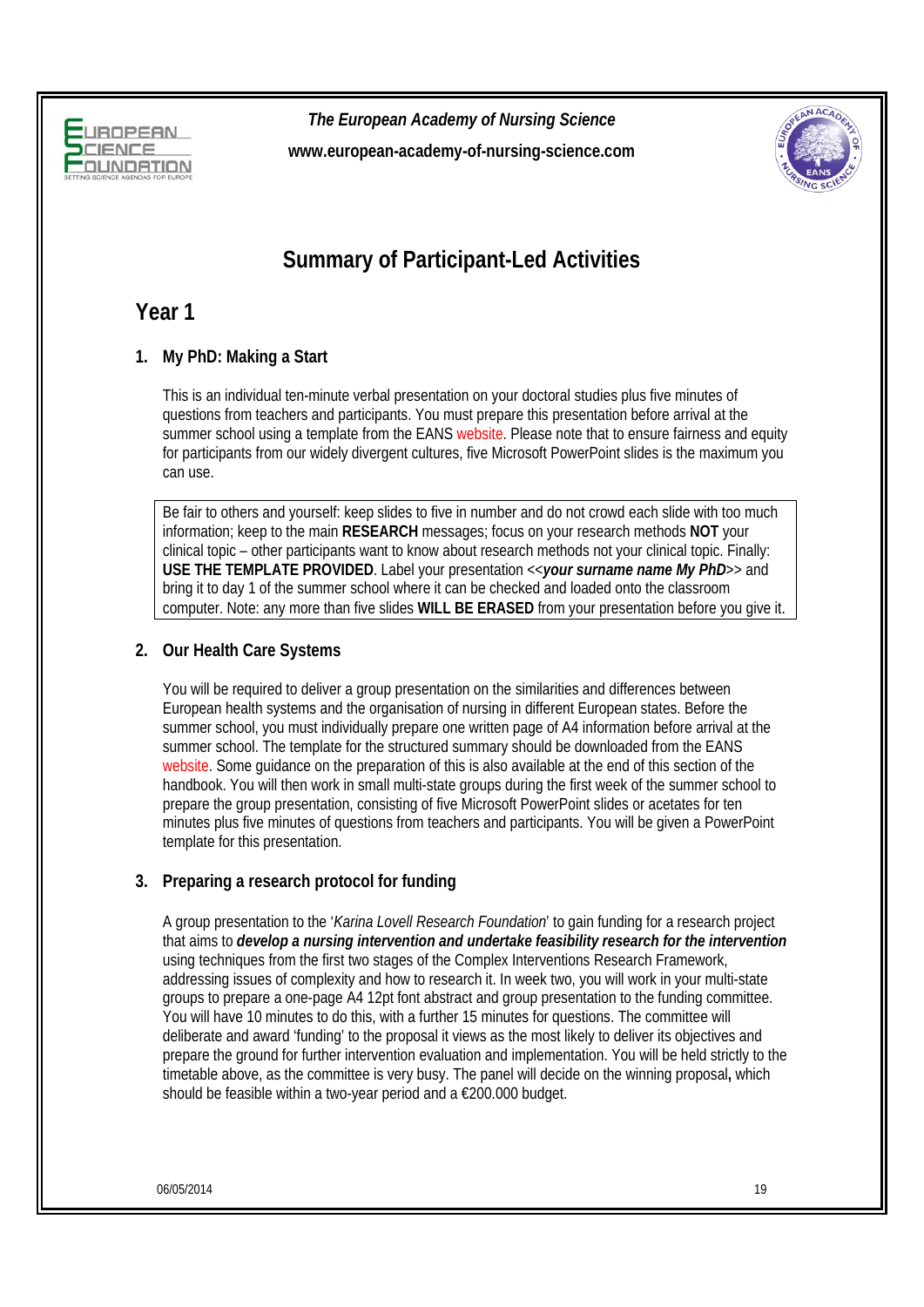



## **Summary of Participant-Led Activities**

## **Year 1**

## **1. My PhD: Making a Start**

This is an individual ten-minute verbal presentation on your doctoral studies plus five minutes of questions from teachers and participants. You must prepare this presentation before arrival at the summer school using a template from the EANS [website.](http://www.european-academy-of-nursing-science.com/activities/summer-schools/) Please note that to ensure fairness and equity for participants from our widely divergent cultures, five Microsoft PowerPoint slides is the maximum you can use.

Be fair to others and yourself: keep slides to five in number and do not crowd each slide with too much information; keep to the main **RESEARCH** messages; focus on your research methods **NOT** your clinical topic – other participants want to know about research methods not your clinical topic. Finally: **USE THE TEMPLATE PROVIDED**. Label your presentation <<*your surname name My PhD*>> and bring it to day 1 of the summer school where it can be checked and loaded onto the classroom computer. Note: any more than five slides **WILL BE ERASED** from your presentation before you give it.

### **2. Our Health Care Systems**

You will be required to deliver a group presentation on the similarities and differences between European health systems and the organisation of nursing in different European states. Before the summer school, you must individually prepare one written page of A4 information before arrival at the summer school. The template for the structured summary should be downloaded from the EANS [website.](http://www.european-academy-of-nursing-science.com/activities/summer-schools/) Some guidance on the preparation of this is also available at the end of this section of the handbook. You will then work in small multi-state groups during the first week of the summer school to prepare the group presentation, consisting of five Microsoft PowerPoint slides or acetates for ten minutes plus five minutes of questions from teachers and participants. You will be given a PowerPoint template for this presentation.

### **3. Preparing a research protocol for funding**

A group presentation to the '*Karina Lovell Research Foundation*' to gain funding for a research project that aims to *develop a nursing intervention and undertake feasibility research for the intervention* using techniques from the first two stages of the Complex Interventions Research Framework, addressing issues of complexity and how to research it. In week two, you will work in your multi-state groups to prepare a one-page A4 12pt font abstract and group presentation to the funding committee. You will have 10 minutes to do this, with a further 15 minutes for questions. The committee will deliberate and award 'funding' to the proposal it views as the most likely to deliver its objectives and prepare the ground for further intervention evaluation and implementation. You will be held strictly to the timetable above, as the committee is very busy. The panel will decide on the winning proposal**,** which should be feasible within a two-year period and a €200.000 budget.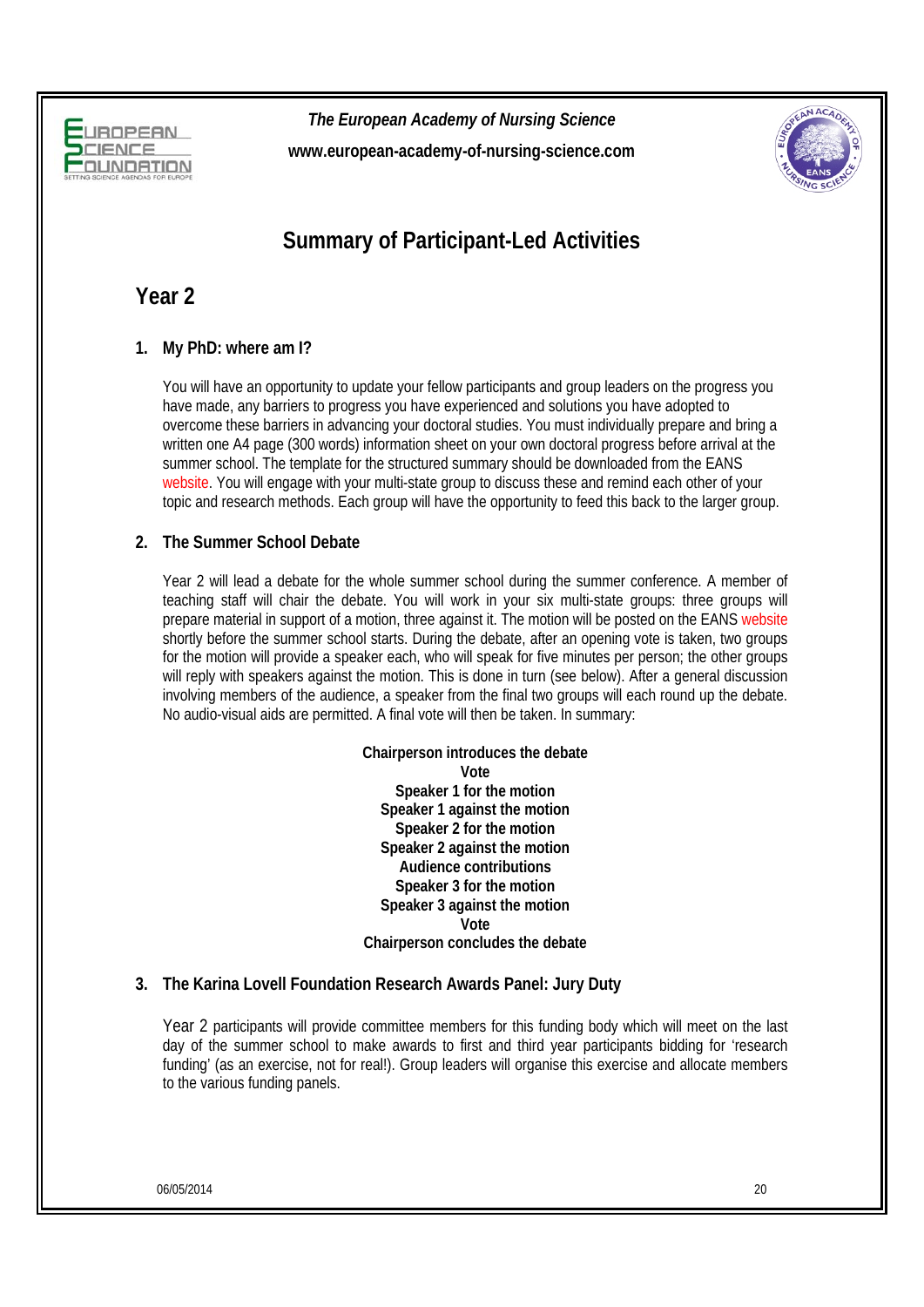



## **Summary of Participant-Led Activities**

## **Year 2**

### **1. My PhD: where am I?**

You will have an opportunity to update your fellow participants and group leaders on the progress you have made, any barriers to progress you have experienced and solutions you have adopted to overcome these barriers in advancing your doctoral studies. You must individually prepare and bring a written one A4 page (300 words) information sheet on your own doctoral progress before arrival at the summer school. The template for the structured summary should be downloaded from the EANS [website.](http://www.european-academy-of-nursing-science.com/activities/summer-schools/) You will engage with your multi-state group to discuss these and remind each other of your topic and research methods. Each group will have the opportunity to feed this back to the larger group.

### **2. The Summer School Debate**

Year 2 will lead a debate for the whole summer school during the summer conference. A member of teaching staff will chair the debate. You will work in your six multi-state groups: three groups will prepare material in support of a motion, three against it. The motion will be posted on the EANS [website](http://www.european-academy-of-nursing-science.com/activities/summer-schools/) shortly before the summer school starts. During the debate, after an opening vote is taken, two groups for the motion will provide a speaker each, who will speak for five minutes per person; the other groups will reply with speakers against the motion. This is done in turn (see below). After a general discussion involving members of the audience, a speaker from the final two groups will each round up the debate. No audio-visual aids are permitted. A final vote will then be taken. In summary:

> **Chairperson introduces the debate Vote Speaker 1 for the motion Speaker 1 against the motion Speaker 2 for the motion Speaker 2 against the motion Audience contributions Speaker 3 for the motion Speaker 3 against the motion Vote Chairperson concludes the debate**

### **3. The Karina Lovell Foundation Research Awards Panel: Jury Duty**

Year 2 participants will provide committee members for this funding body which will meet on the last day of the summer school to make awards to first and third year participants bidding for 'research funding' (as an exercise, not for real!). Group leaders will organise this exercise and allocate members to the various funding panels.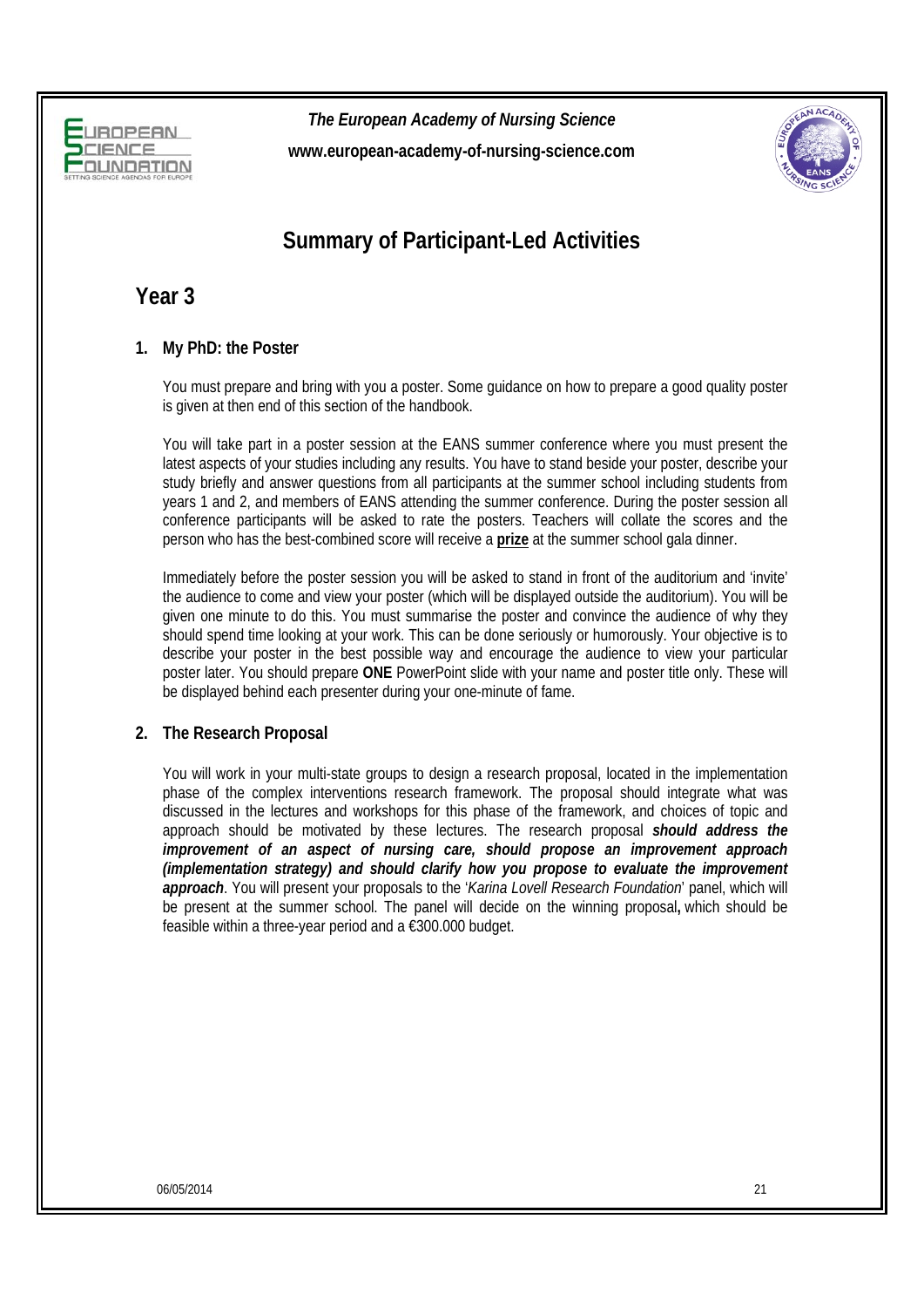



## **Summary of Participant-Led Activities**

**Year 3** 

### **1. My PhD: the Poster**

You must prepare and bring with you a poster. Some guidance on how to prepare a good quality poster is given at then end of this section of the handbook.

You will take part in a poster session at the EANS summer conference where you must present the latest aspects of your studies including any results. You have to stand beside your poster, describe your study briefly and answer questions from all participants at the summer school including students from years 1 and 2, and members of EANS attending the summer conference. During the poster session all conference participants will be asked to rate the posters. Teachers will collate the scores and the person who has the best-combined score will receive a **prize** at the summer school gala dinner.

Immediately before the poster session you will be asked to stand in front of the auditorium and 'invite' the audience to come and view your poster (which will be displayed outside the auditorium). You will be given one minute to do this. You must summarise the poster and convince the audience of why they should spend time looking at your work. This can be done seriously or humorously. Your objective is to describe your poster in the best possible way and encourage the audience to view your particular poster later. You should prepare **ONE** PowerPoint slide with your name and poster title only. These will be displayed behind each presenter during your one-minute of fame.

#### **2. The Research Proposal**

You will work in your multi-state groups to design a research proposal, located in the implementation phase of the complex interventions research framework. The proposal should integrate what was discussed in the lectures and workshops for this phase of the framework, and choices of topic and approach should be motivated by these lectures. The research proposal *should address the improvement of an aspect of nursing care, should propose an improvement approach (implementation strategy) and should clarify how you propose to evaluate the improvement approach*. You will present your proposals to the '*Karina Lovell Research Foundation*' panel, which will be present at the summer school. The panel will decide on the winning proposal**,** which should be feasible within a three-year period and a €300.000 budget.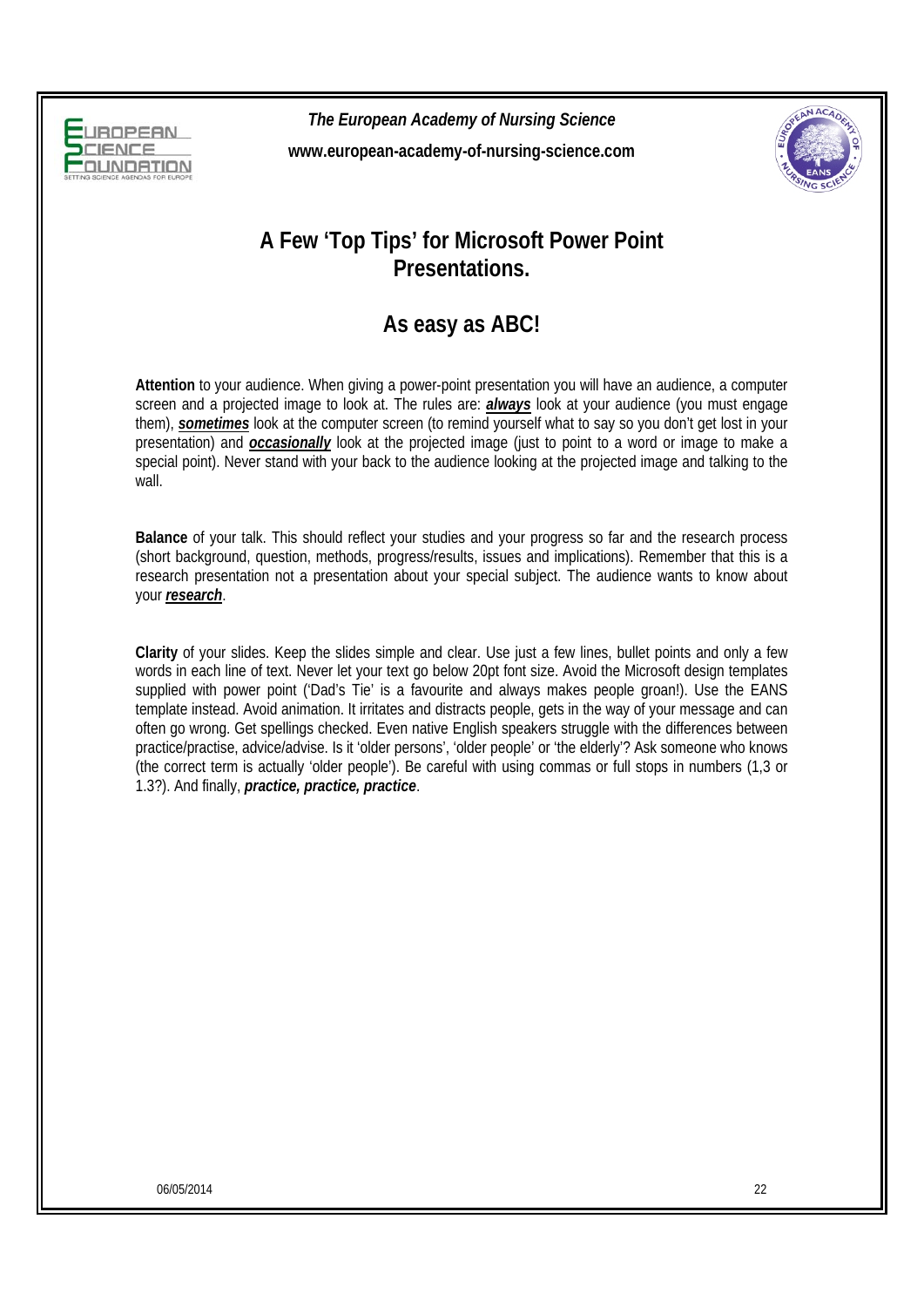



## **A Few 'Top Tips' for Microsoft Power Point Presentations.**

## **As easy as ABC!**

**Attention** to your audience. When giving a power-point presentation you will have an audience, a computer screen and a projected image to look at. The rules are: *always* look at your audience (you must engage them), *sometimes* look at the computer screen (to remind yourself what to say so you don't get lost in your presentation) and *occasionally* look at the projected image (just to point to a word or image to make a special point). Never stand with your back to the audience looking at the projected image and talking to the wall.

**Balance** of your talk. This should reflect your studies and your progress so far and the research process (short background, question, methods, progress/results, issues and implications). Remember that this is a research presentation not a presentation about your special subject. The audience wants to know about your *research*.

**Clarity** of your slides. Keep the slides simple and clear. Use just a few lines, bullet points and only a few words in each line of text. Never let your text go below 20pt font size. Avoid the Microsoft design templates supplied with power point ('Dad's Tie' is a favourite and always makes people groan!). Use the EANS template instead. Avoid animation. It irritates and distracts people, gets in the way of your message and can often go wrong. Get spellings checked. Even native English speakers struggle with the differences between practice/practise, advice/advise. Is it 'older persons', 'older people' or 'the elderly'? Ask someone who knows (the correct term is actually 'older people'). Be careful with using commas or full stops in numbers (1,3 or 1.3?). And finally, *practice, practice, practice*.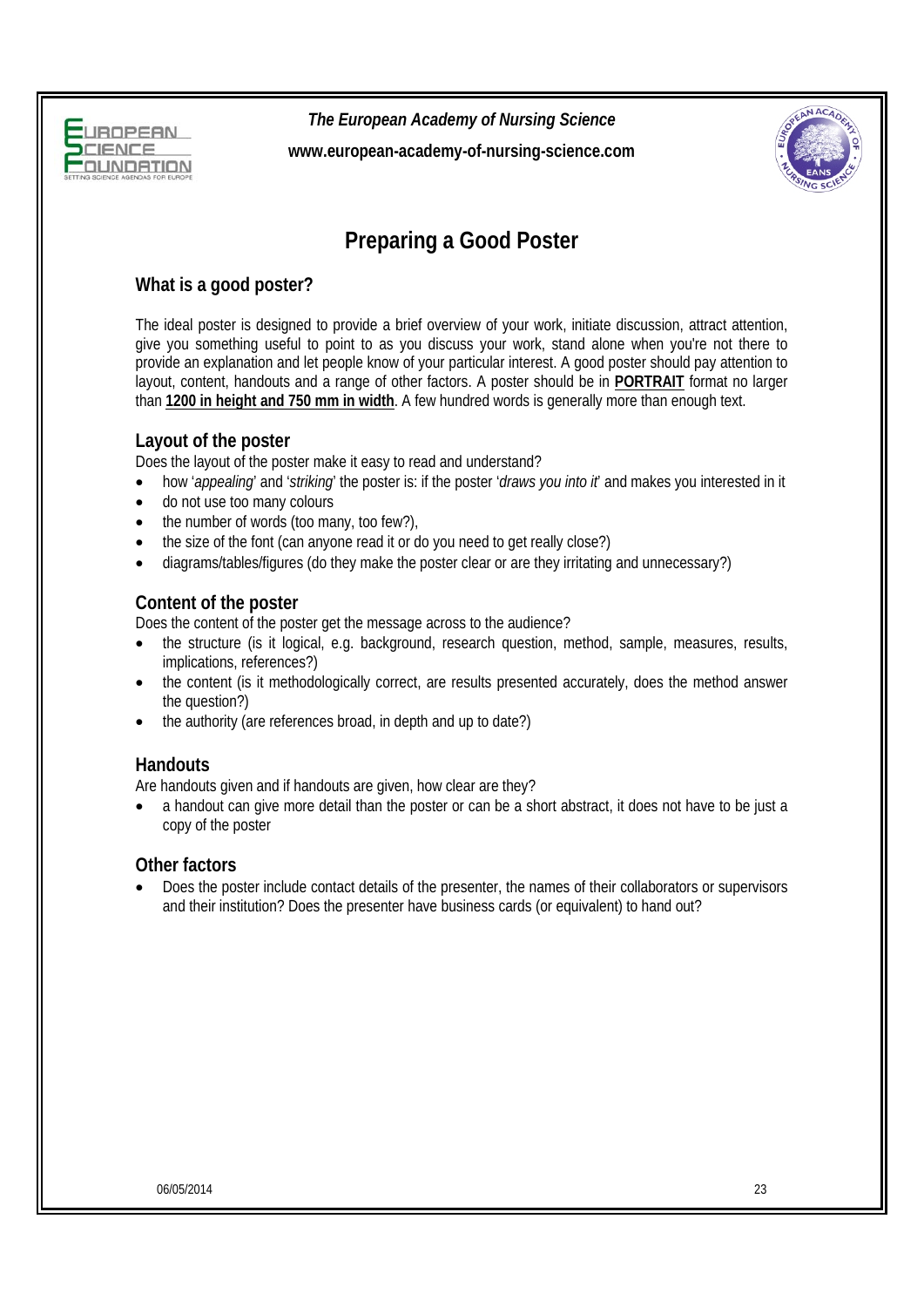



## **Preparing a Good Poster**

## **What is a good poster?**

The ideal poster is designed to provide a brief overview of your work, initiate discussion, attract attention, give you something useful to point to as you discuss your work, stand alone when you're not there to provide an explanation and let people know of your particular interest. A good poster should pay attention to layout, content, handouts and a range of other factors. A poster should be in **PORTRAIT** format no larger than **1200 in height and 750 mm in width**. A few hundred words is generally more than enough text.

## **Layout of the poster**

Does the layout of the poster make it easy to read and understand?

- how '*appealing*' and '*striking*' the poster is: if the poster '*draws you into it*' and makes you interested in it
- do not use too many colours
- the number of words (too many, too few?),
- the size of the font (can anyone read it or do you need to get really close?)
- diagrams/tables/figures (do they make the poster clear or are they irritating and unnecessary?)

## **Content of the poster**

Does the content of the poster get the message across to the audience?

- the structure (is it logical, e.g. background, research question, method, sample, measures, results, implications, references?)
- the content (is it methodologically correct, are results presented accurately, does the method answer the question?)
- the authority (are references broad, in depth and up to date?)

### **Handouts**

Are handouts given and if handouts are given, how clear are they?

 a handout can give more detail than the poster or can be a short abstract, it does not have to be just a copy of the poster

### **Other factors**

 Does the poster include contact details of the presenter, the names of their collaborators or supervisors and their institution? Does the presenter have business cards (or equivalent) to hand out?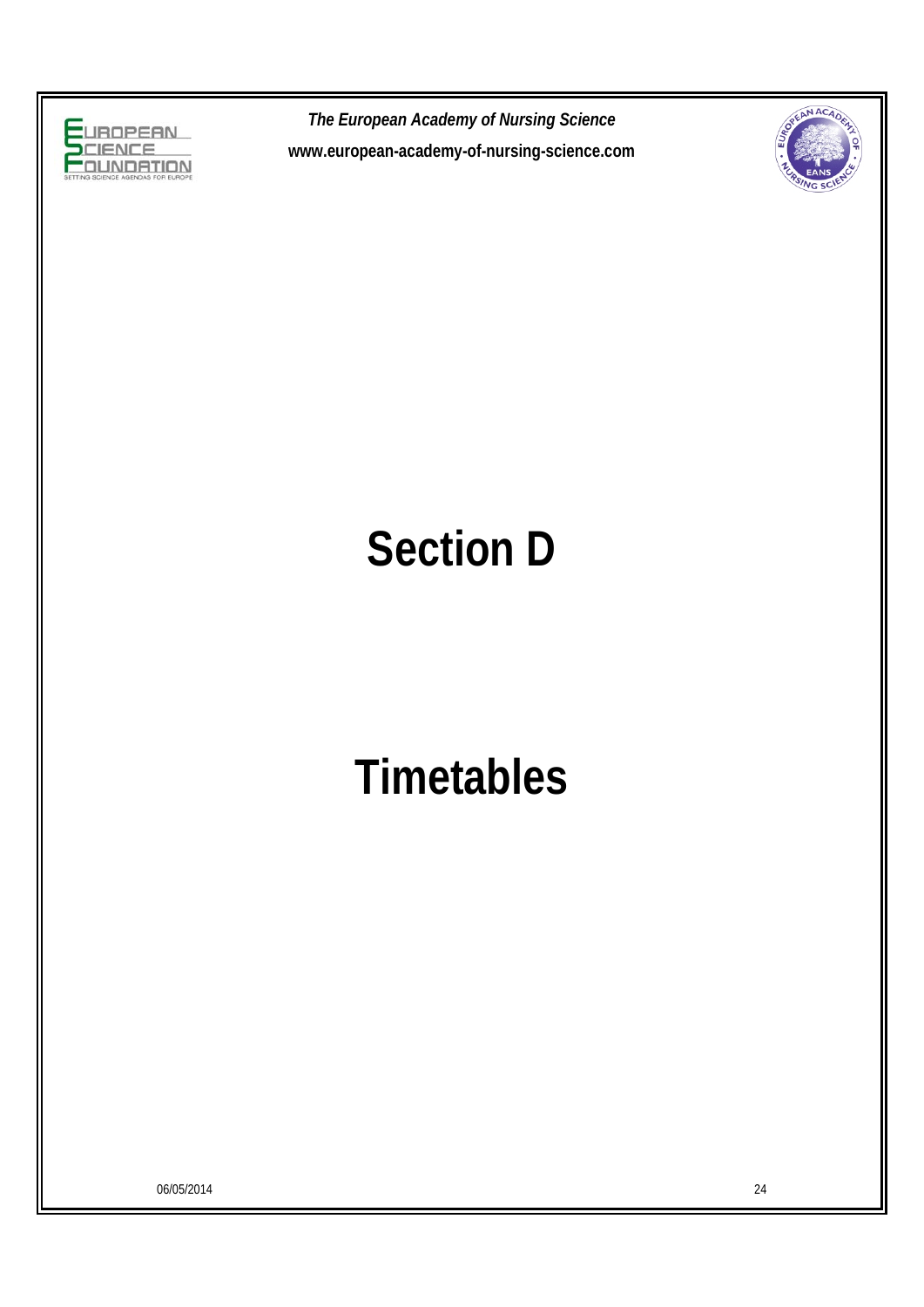



# **Section D**

## **Timetables**

06/05/2014 24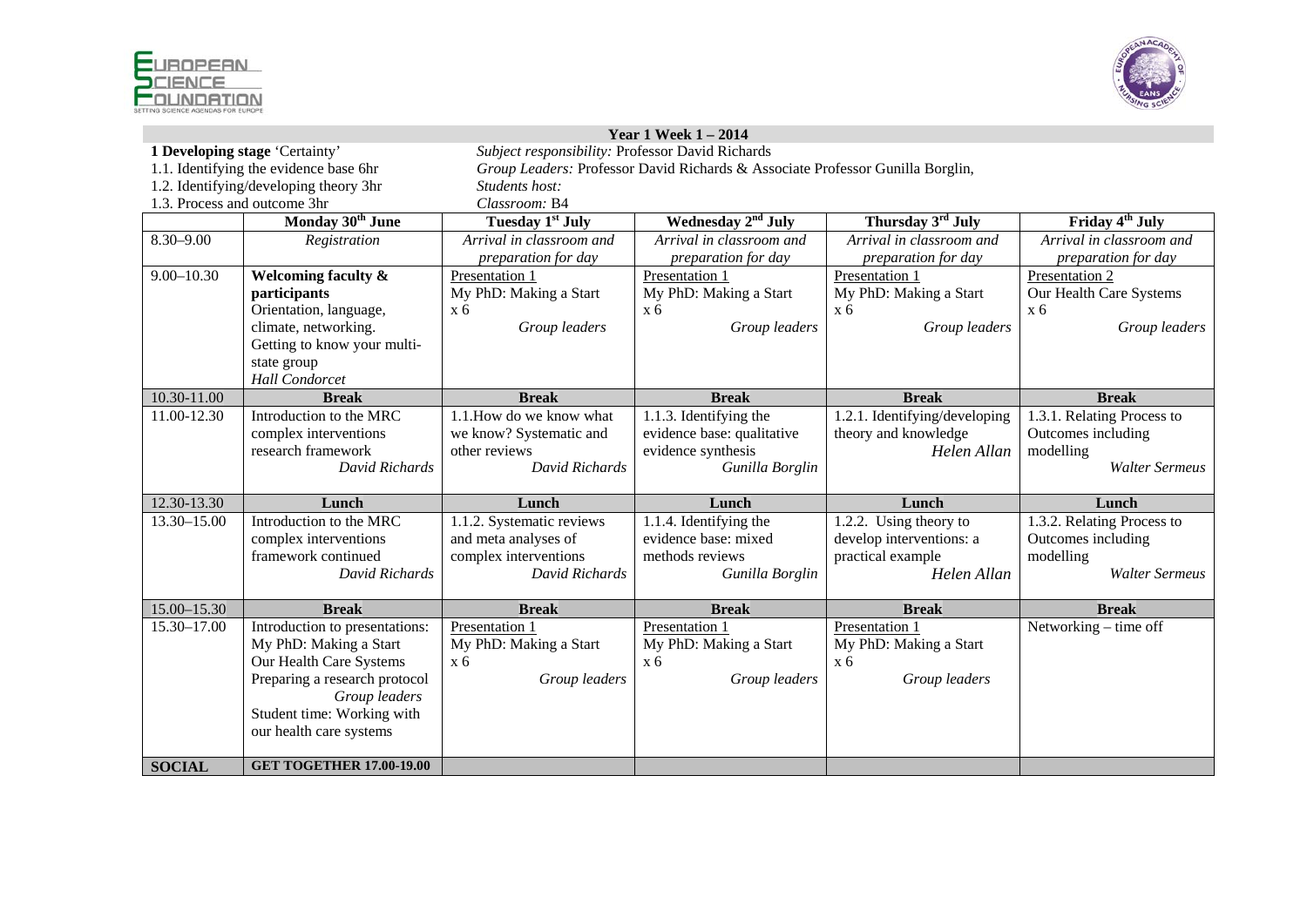



|                                                                        | <b>Year 1 Week 1 – 2014</b>         |                                                                                |                                       |                                       |                                           |  |  |
|------------------------------------------------------------------------|-------------------------------------|--------------------------------------------------------------------------------|---------------------------------------|---------------------------------------|-------------------------------------------|--|--|
| 1 Developing stage 'Certainty'                                         |                                     | Subject responsibility: Professor David Richards                               |                                       |                                       |                                           |  |  |
| 1.1. Identifying the evidence base 6hr                                 |                                     | Group Leaders: Professor David Richards & Associate Professor Gunilla Borglin, |                                       |                                       |                                           |  |  |
| 1.2. Identifying/developing theory 3hr<br>1.3. Process and outcome 3hr |                                     | Students host:                                                                 |                                       |                                       |                                           |  |  |
|                                                                        |                                     | Classroom: B4                                                                  |                                       |                                       |                                           |  |  |
|                                                                        | Monday 30 <sup>th</sup> June        | Tuesday 1 <sup>st</sup> July                                                   | Wednesday 2 <sup>nd</sup> July        | Thursday 3rd July                     | Friday 4 <sup>th</sup> July               |  |  |
| $8.30 - 9.00$                                                          | Registration                        | Arrival in classroom and                                                       | Arrival in classroom and              | Arrival in classroom and              | Arrival in classroom and                  |  |  |
| $9.00 - 10.30$                                                         |                                     | preparation for day<br>Presentation 1                                          | preparation for day<br>Presentation 1 | preparation for day<br>Presentation 1 | preparation for day                       |  |  |
|                                                                        | Welcoming faculty &<br>participants | My PhD: Making a Start                                                         | My PhD: Making a Start                | My PhD: Making a Start                | Presentation 2<br>Our Health Care Systems |  |  |
|                                                                        | Orientation, language,              | $x_{6}$                                                                        | $x_{6}$                               | $x_{6}$                               | $x_{6}$                                   |  |  |
|                                                                        | climate, networking.                | Group leaders                                                                  | Group leaders                         | Group leaders                         | Group leaders                             |  |  |
|                                                                        | Getting to know your multi-         |                                                                                |                                       |                                       |                                           |  |  |
|                                                                        | state group                         |                                                                                |                                       |                                       |                                           |  |  |
|                                                                        | Hall Condorcet                      |                                                                                |                                       |                                       |                                           |  |  |
| 10.30-11.00                                                            | <b>Break</b>                        | <b>Break</b>                                                                   | <b>Break</b>                          | <b>Break</b>                          | <b>Break</b>                              |  |  |
| 11.00-12.30                                                            | Introduction to the MRC             | 1.1. How do we know what                                                       | $\overline{1.1}$ .3. Identifying the  | 1.2.1. Identifying/developing         | 1.3.1. Relating Process to                |  |  |
|                                                                        | complex interventions               | we know? Systematic and                                                        | evidence base: qualitative            | theory and knowledge                  | Outcomes including                        |  |  |
|                                                                        | research framework                  | other reviews                                                                  | evidence synthesis                    | Helen Allan                           | modelling                                 |  |  |
|                                                                        | David Richards                      | David Richards                                                                 | Gunilla Borglin                       |                                       | <b>Walter Sermeus</b>                     |  |  |
|                                                                        |                                     |                                                                                |                                       |                                       |                                           |  |  |
| 12.30-13.30                                                            | Lunch                               | Lunch                                                                          | Lunch                                 | Lunch                                 | Lunch                                     |  |  |
| 13.30-15.00                                                            | Introduction to the MRC             | $1.1.2$ . Systematic reviews                                                   | 1.1.4. Identifying the                | 1.2.2. Using theory to                | 1.3.2. Relating Process to                |  |  |
|                                                                        | complex interventions               | and meta analyses of                                                           | evidence base: mixed                  | develop interventions: a              | Outcomes including                        |  |  |
|                                                                        | framework continued                 | complex interventions                                                          | methods reviews                       | practical example                     | modelling                                 |  |  |
|                                                                        | David Richards                      | David Richards                                                                 | Gunilla Borglin                       | Helen Allan                           | <b>Walter Sermeus</b>                     |  |  |
| 15.00-15.30                                                            | <b>Break</b>                        | <b>Break</b>                                                                   | <b>Break</b>                          | <b>Break</b>                          | <b>Break</b>                              |  |  |
| 15.30-17.00                                                            | Introduction to presentations:      | Presentation 1                                                                 | Presentation 1                        | Presentation 1                        | Networking – time off                     |  |  |
|                                                                        | My PhD: Making a Start              | My PhD: Making a Start                                                         | My PhD: Making a Start                | My PhD: Making a Start                |                                           |  |  |
|                                                                        | Our Health Care Systems             | $x_{6}$                                                                        | $x_{6}$                               | $x_{6}$                               |                                           |  |  |
|                                                                        | Preparing a research protocol       | Group leaders                                                                  | Group leaders                         | Group leaders                         |                                           |  |  |
|                                                                        | Group leaders                       |                                                                                |                                       |                                       |                                           |  |  |
|                                                                        | Student time: Working with          |                                                                                |                                       |                                       |                                           |  |  |
|                                                                        | our health care systems             |                                                                                |                                       |                                       |                                           |  |  |
|                                                                        |                                     |                                                                                |                                       |                                       |                                           |  |  |
| <b>SOCIAL</b>                                                          | <b>GET TOGETHER 17.00-19.00</b>     |                                                                                |                                       |                                       |                                           |  |  |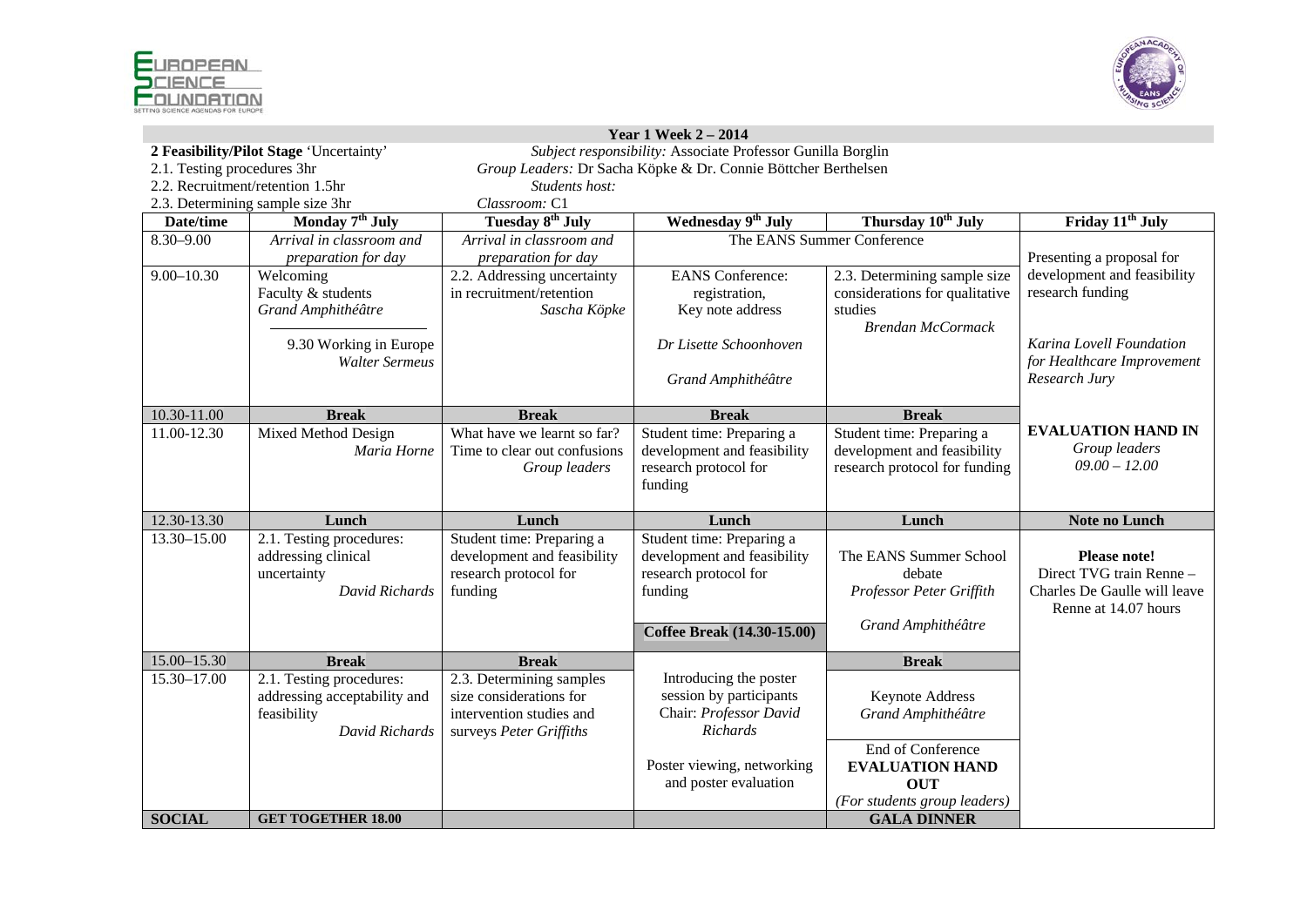



#### **2 Feasibility/Pilot Stage** 'Uncertainty' *Subject responsibility:* Associate Professor Gunilla Borglin 2.1. Testing procedures 3hr *Group Leaders:* Dr Sacha Köpke & Dr. Connie Böttcher Berthelsen 2.2. Recruitment/retention 1.5hr *Students host:*2.3. Determining sample size 3hr *Classroom:* C1 **Date/time Monday 7<sup>th</sup> July Tuesday 8<sup>th</sup> July Date/time Monday 7<sup>th</sup> July Tuesday 8<sup>th</sup> July Wednesday 9<sup>th</sup> July Thursday 10<sup>th</sup> July Friday 11<sup>th</sup> July** 8.30–9.00 *Arrival in classroom and preparation for day Arrival in classroom and preparation for day*  The EANS Summer Conference Presenting a proposal for development and feasibility research funding *Karina Lovell Foundation for Healthcare Improvement Research Jury* **EVALUATION HAND IN**  *Group leaders 09.00 – 12.00*  9.00–10.30 Welcoming Faculty & students *Grand Amphithéâtre*  9.30 Working in Europe *Walter Sermeus*  2.2. Addressing uncertainty in recruitment/retention *Sascha Köpke*  EANS Conference: registration, Key note address *Dr Lisette Schoonhoven Grand Amphithéâtre*  2.3. Determining sample size considerations for qualitative studies *Brendan McCormack* 10.30-11.00 **Break Break Break Break** 11.00-12.30 Mixed Method Design *Maria Horne*  What have we learnt so far? Time to clear out confusions  *Group leaders*  Student time: Preparing a development and feasibility research protocol for funding Student time: Preparing a development and feasibility research protocol for funding 12.30-13.30 **Lunch Lunch Lunch Lunch Note no Lunch** 13.30–15.00 2.1. Testing procedures: addressing clinical uncertainty *David Richards*Student time: Preparing a development and feasibility research protocol for funding Student time: Preparing a development and feasibility research protocol for funding The EANS Summer School debate *Professor Peter Griffith Grand Amphithéâtre*  **Please note!** Direct TVG train Renne – Charles De Gaulle will leave Renne at 14.07 hours **Coffee Break (14.30-15.00)** 15.00–15.30 **Break Break Break** Introducing the poster session by participants Chair: *Professor David Richards*Poster viewing, networking and poster evaluation **Break**  15.30–17.00 2.1. Testing procedures: addressing acceptability and feasibility *David Richards* 2.3. Determining samples size considerations for intervention studies and surveys *Peter Griffiths* Keynote Address *Grand Amphithéâtre*  End of Conference **EVALUATION HAND OUT** *(For students group leaders)*  **SOCIAL GET TOGETHER 18.00** GALA DINNER

#### **Year 1 Week 2 – 2014**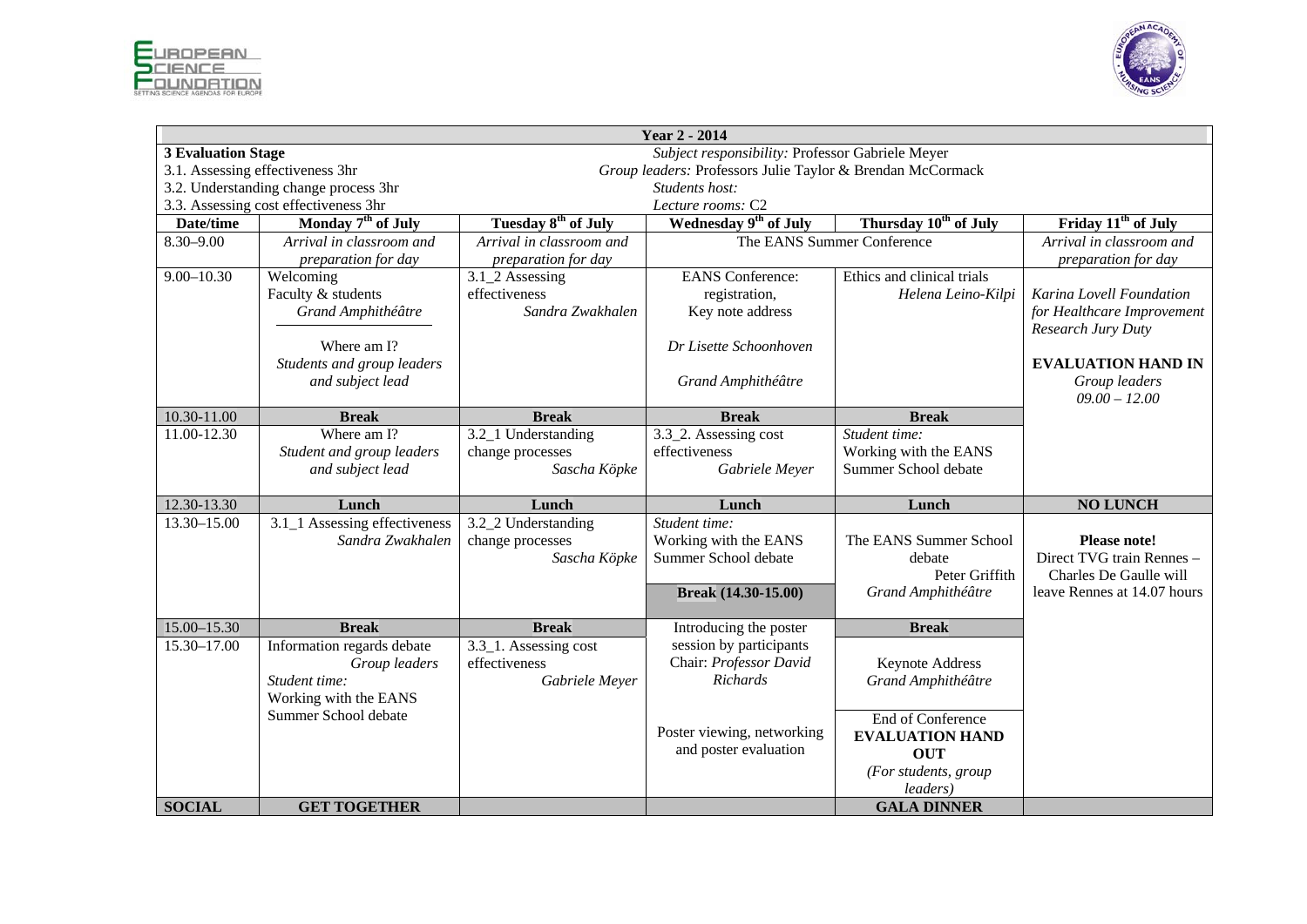



| <b>Year 2 - 2014</b>                                                          |                                               |                                       |                                                            |                                   |                                 |  |  |
|-------------------------------------------------------------------------------|-----------------------------------------------|---------------------------------------|------------------------------------------------------------|-----------------------------------|---------------------------------|--|--|
| Subject responsibility: Professor Gabriele Meyer<br><b>3 Evaluation Stage</b> |                                               |                                       |                                                            |                                   |                                 |  |  |
| 3.1. Assessing effectiveness 3hr                                              |                                               |                                       | Group leaders: Professors Julie Taylor & Brendan McCormack |                                   |                                 |  |  |
|                                                                               | 3.2. Understanding change process 3hr         | Students host:                        |                                                            |                                   |                                 |  |  |
|                                                                               | 3.3. Assessing cost effectiveness 3hr         | Lecture rooms: C2                     |                                                            |                                   |                                 |  |  |
| Date/time                                                                     | Monday 7 <sup>th</sup> of July                | Tuesday 8 <sup>th</sup> of July       | Wednesday 9 <sup>th</sup> of July                          | Thursday 10 <sup>th</sup> of July | Friday 11 <sup>th</sup> of July |  |  |
| $8.30 - 9.00$                                                                 | Arrival in classroom and                      | Arrival in classroom and              | The EANS Summer Conference                                 |                                   | Arrival in classroom and        |  |  |
|                                                                               | preparation for day                           | preparation for day                   |                                                            |                                   | preparation for day             |  |  |
| $9.00 - 10.30$                                                                | Welcoming                                     | 3.1_2 Assessing                       | <b>EANS</b> Conference:                                    | Ethics and clinical trials        |                                 |  |  |
|                                                                               | Faculty & students                            | effectiveness                         | registration,                                              | Helena Leino-Kilpi                | Karina Lovell Foundation        |  |  |
|                                                                               | Grand Amphithéâtre                            | Sandra Zwakhalen                      | Key note address                                           |                                   | for Healthcare Improvement      |  |  |
|                                                                               |                                               |                                       |                                                            |                                   | Research Jury Duty              |  |  |
|                                                                               | Where am I?                                   |                                       | Dr Lisette Schoonhoven                                     |                                   |                                 |  |  |
|                                                                               | Students and group leaders                    |                                       |                                                            |                                   | <b>EVALUATION HAND IN</b>       |  |  |
|                                                                               | and subject lead                              |                                       | Grand Amphithéâtre                                         |                                   | Group leaders                   |  |  |
|                                                                               |                                               |                                       |                                                            |                                   | $09.00 - 12.00$                 |  |  |
| 10.30-11.00                                                                   | <b>Break</b>                                  | <b>Break</b>                          | <b>Break</b>                                               | <b>Break</b>                      |                                 |  |  |
| 11.00-12.30                                                                   | Where am I?                                   | 3.2_1 Understanding                   | 3.3_2. Assessing cost                                      | Student time:                     |                                 |  |  |
|                                                                               | Student and group leaders                     | change processes                      | effectiveness                                              | Working with the EANS             |                                 |  |  |
|                                                                               | and subject lead                              | Sascha Köpke                          | Gabriele Meyer                                             | Summer School debate              |                                 |  |  |
|                                                                               |                                               |                                       |                                                            |                                   |                                 |  |  |
| 12.30-13.30                                                                   | Lunch                                         | Lunch                                 | Lunch                                                      | Lunch                             | <b>NO LUNCH</b>                 |  |  |
| 13.30-15.00                                                                   | 3.1_1 Assessing effectiveness                 | 3.2_2 Understanding                   | Student time:                                              |                                   |                                 |  |  |
|                                                                               | Sandra Zwakhalen                              | change processes                      | Working with the EANS                                      | The EANS Summer School            | Please note!                    |  |  |
|                                                                               |                                               | Sascha Köpke                          | Summer School debate                                       | debate                            | Direct TVG train Rennes -       |  |  |
|                                                                               |                                               |                                       |                                                            | Peter Griffith                    | Charles De Gaulle will          |  |  |
|                                                                               |                                               |                                       | Break (14.30-15.00)                                        | Grand Amphithéâtre                | leave Rennes at 14.07 hours     |  |  |
| $15.00 - 15.30$                                                               |                                               |                                       |                                                            |                                   |                                 |  |  |
|                                                                               | <b>Break</b>                                  | <b>Break</b><br>3.3_1. Assessing cost | Introducing the poster                                     | <b>Break</b>                      |                                 |  |  |
| 15.30-17.00                                                                   | Information regards debate                    |                                       | session by participants<br>Chair: Professor David          |                                   |                                 |  |  |
|                                                                               | Group leaders                                 | effectiveness                         | Richards                                                   | Keynote Address                   |                                 |  |  |
|                                                                               | Student time:                                 | Gabriele Meyer                        |                                                            | Grand Amphithéâtre                |                                 |  |  |
|                                                                               | Working with the EANS<br>Summer School debate |                                       |                                                            |                                   |                                 |  |  |
|                                                                               |                                               |                                       | Poster viewing, networking                                 | End of Conference                 |                                 |  |  |
|                                                                               |                                               |                                       | and poster evaluation                                      | <b>EVALUATION HAND</b>            |                                 |  |  |
|                                                                               |                                               |                                       |                                                            | <b>OUT</b>                        |                                 |  |  |
|                                                                               |                                               |                                       |                                                            | (For students, group              |                                 |  |  |
|                                                                               |                                               |                                       |                                                            | leaders)                          |                                 |  |  |
| <b>SOCIAL</b>                                                                 | <b>GET TOGETHER</b>                           |                                       |                                                            | <b>GALA DINNER</b>                |                                 |  |  |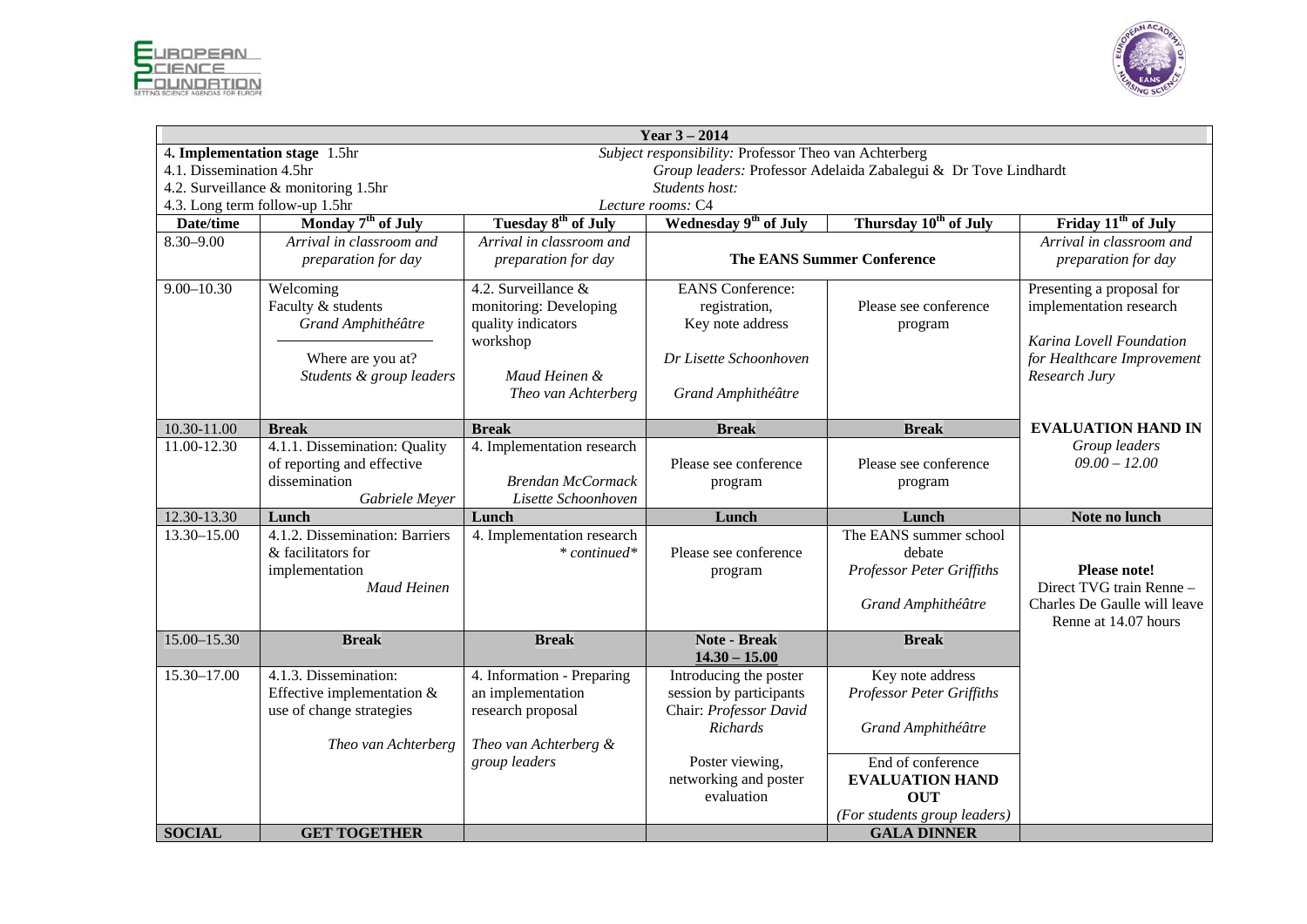



| Year $3 - 2014$                                                                        |                                                                                                        |                                                                                                                         |                                                                                                              |                                                                                          |                                                                                                                                 |  |  |
|----------------------------------------------------------------------------------------|--------------------------------------------------------------------------------------------------------|-------------------------------------------------------------------------------------------------------------------------|--------------------------------------------------------------------------------------------------------------|------------------------------------------------------------------------------------------|---------------------------------------------------------------------------------------------------------------------------------|--|--|
| Subject responsibility: Professor Theo van Achterberg<br>4. Implementation stage 1.5hr |                                                                                                        |                                                                                                                         |                                                                                                              |                                                                                          |                                                                                                                                 |  |  |
| 4.1. Dissemination 4.5hr                                                               |                                                                                                        | Group leaders: Professor Adelaida Zabalegui & Dr Tove Lindhardt                                                         |                                                                                                              |                                                                                          |                                                                                                                                 |  |  |
| 4.2. Surveillance & monitoring 1.5hr                                                   |                                                                                                        | Students host:<br>Lecture rooms: C4                                                                                     |                                                                                                              |                                                                                          |                                                                                                                                 |  |  |
| 4.3. Long term follow-up 1.5hr                                                         |                                                                                                        |                                                                                                                         |                                                                                                              |                                                                                          |                                                                                                                                 |  |  |
| Date/time                                                                              | Monday 7 <sup>th</sup> of July                                                                         | Tuesday 8 <sup>th</sup> of July                                                                                         | Wednesday 9 <sup>th</sup> of July                                                                            | Thursday 10 <sup>th</sup> of July                                                        | Friday 11 <sup>th</sup> of July                                                                                                 |  |  |
| $8.30 - 9.00$                                                                          | Arrival in classroom and<br>preparation for day                                                        | Arrival in classroom and<br>preparation for day                                                                         | <b>The EANS Summer Conference</b>                                                                            |                                                                                          | Arrival in classroom and<br>preparation for day                                                                                 |  |  |
| $9.00 - 10.30$                                                                         | Welcoming<br>Faculty & students<br>Grand Amphithéâtre<br>Where are you at?<br>Students & group leaders | 4.2. Surveillance &<br>monitoring: Developing<br>quality indicators<br>workshop<br>Maud Heinen &<br>Theo van Achterberg | <b>EANS</b> Conference:<br>registration,<br>Key note address<br>Dr Lisette Schoonhoven<br>Grand Amphithéâtre | Please see conference<br>program                                                         | Presenting a proposal for<br>implementation research<br>Karina Lovell Foundation<br>for Healthcare Improvement<br>Research Jury |  |  |
| 10.30-11.00                                                                            | <b>Break</b>                                                                                           | <b>Break</b>                                                                                                            | <b>Break</b>                                                                                                 | <b>Break</b>                                                                             | <b>EVALUATION HAND IN</b>                                                                                                       |  |  |
| 11.00-12.30                                                                            | 4.1.1. Dissemination: Quality<br>of reporting and effective<br>dissemination<br>Gabriele Meyer         | 4. Implementation research<br><b>Brendan McCormack</b><br>Lisette Schoonhoven                                           | Please see conference<br>program                                                                             | Please see conference<br>program                                                         | Group leaders<br>$09.00 - 12.00$                                                                                                |  |  |
| 12.30-13.30                                                                            | Lunch                                                                                                  | Lunch                                                                                                                   | Lunch                                                                                                        | Lunch                                                                                    | Note no lunch                                                                                                                   |  |  |
| 13.30-15.00                                                                            | 4.1.2. Dissemination: Barriers<br>& facilitators for<br>implementation<br><b>Maud Heinen</b>           | 4. Implementation research<br>$*$ continued $*$                                                                         | Please see conference<br>program                                                                             | The EANS summer school<br>debate<br>Professor Peter Griffiths<br>Grand Amphithéâtre      | Please note!<br>Direct TVG train Renne -<br>Charles De Gaulle will leave<br>Renne at 14.07 hours                                |  |  |
| 15.00-15.30                                                                            | <b>Break</b>                                                                                           | <b>Break</b>                                                                                                            | <b>Note - Break</b><br>$14.30 - 15.00$                                                                       | <b>Break</b>                                                                             |                                                                                                                                 |  |  |
| 15.30-17.00                                                                            | 4.1.3. Dissemination:<br>Effective implementation &<br>use of change strategies<br>Theo van Achterberg | 4. Information - Preparing<br>an implementation<br>research proposal<br>Theo van Achterberg &<br>group leaders          | Introducing the poster<br>session by participants<br>Chair: Professor David<br>Richards<br>Poster viewing,   | Key note address<br>Professor Peter Griffiths<br>Grand Amphithéâtre<br>End of conference |                                                                                                                                 |  |  |
|                                                                                        |                                                                                                        |                                                                                                                         | networking and poster<br>evaluation                                                                          | <b>EVALUATION HAND</b><br><b>OUT</b><br>(For students group leaders)                     |                                                                                                                                 |  |  |
| <b>SOCIAL</b>                                                                          | <b>GET TOGETHER</b>                                                                                    |                                                                                                                         |                                                                                                              | <b>GALA DINNER</b>                                                                       |                                                                                                                                 |  |  |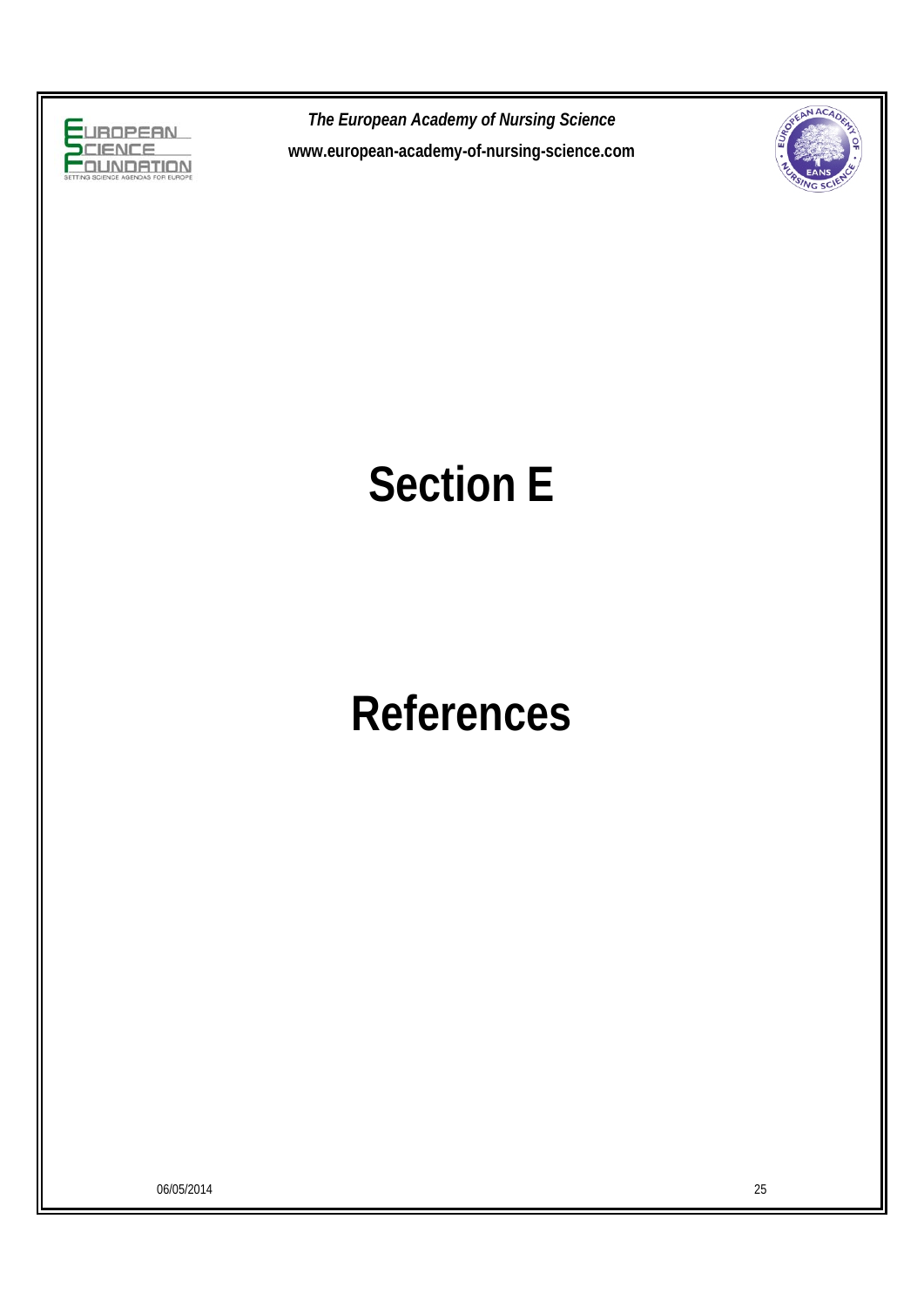



## **Section E**

## **References**

06/05/2014 25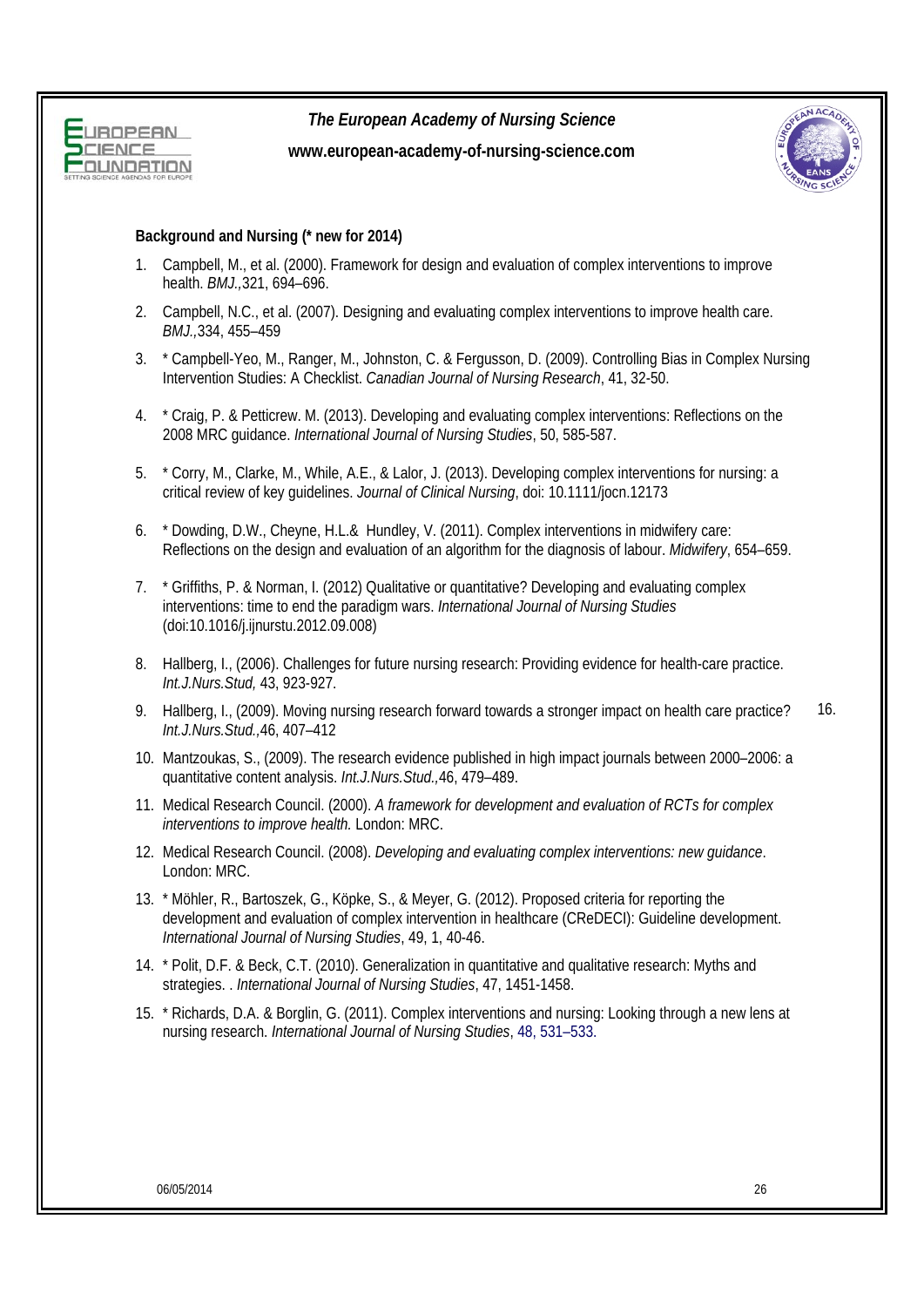



#### **Background and Nursing (\* new for 2014)**

- 1. Campbell, M., et al. (2000). Framework for design and evaluation of complex interventions to improve health. *BMJ.,*321, 694–696.
- 2. Campbell, N.C., et al. (2007). Designing and evaluating complex interventions to improve health care. *BMJ.,*334, 455–459
- 3. \* Campbell-Yeo, M., Ranger, M., Johnston, C. & Fergusson, D. (2009). Controlling Bias in Complex Nursing Intervention Studies: A Checklist. *Canadian Journal of Nursing Research*, 41, 32-50.
- 4. \* Craig, P. & Petticrew. M. (2013). Developing and evaluating complex interventions: Reflections on the 2008 MRC guidance. *International Journal of Nursing Studies*, 50, 585-587.
- 5. \* Corry, M., Clarke, M., While, A.E., & Lalor, J. (2013). Developing complex interventions for nursing: a critical review of key guidelines. *Journal of Clinical Nursing*, doi: 10.1111/jocn.12173
- 6. \* Dowding, D.W., Cheyne, H.L.& Hundley, V. (2011). Complex interventions in midwifery care: Reflections on the design and evaluation of an algorithm for the diagnosis of labour. *Midwifery*, 654–659.
- 7. \* Griffiths, P. & Norman, I. (2012) Qualitative or quantitative? Developing and evaluating complex interventions: time to end the paradigm wars. *International Journal of Nursing Studies* (doi:10.1016/j.ijnurstu.2012.09.008)
- 8. Hallberg, I., (2006). Challenges for future nursing research: Providing evidence for health-care practice. *Int.J.Nurs.Stud,* 43, 923-927.
- 9. Hallberg, I., (2009). Moving nursing research forward towards a stronger impact on health care practice? *Int.J.Nurs.Stud.,*46, 407–412 16.
- 10. Mantzoukas, S., (2009). The research evidence published in high impact journals between 2000–2006: a quantitative content analysis. *Int.J.Nurs.Stud.,*46, 479–489.
- 11. Medical Research Council. (2000). *A framework for development and evaluation of RCTs for complex interventions to improve health.* London: MRC.
- 12. Medical Research Council. (2008). *Developing and evaluating complex interventions: new guidance*. London: MRC.
- 13. \* Möhler, R., Bartoszek, G., Köpke, S., & Meyer, G. (2012). Proposed criteria for reporting the development and evaluation of complex intervention in healthcare (CReDECI): Guideline development. *International Journal of Nursing Studies*, 49, 1, 40-46.
- 14. \* Polit, D.F. & Beck, C.T. (2010). Generalization in quantitative and qualitative research: Myths and strategies. . *International Journal of Nursing Studies*, 47, 1451-1458.
- 15. \* Richards, D.A. & Borglin, G. (2011). Complex interventions and nursing: Looking through a new lens at nursing research. *International Journal of Nursing Studies*, 48, 531–533.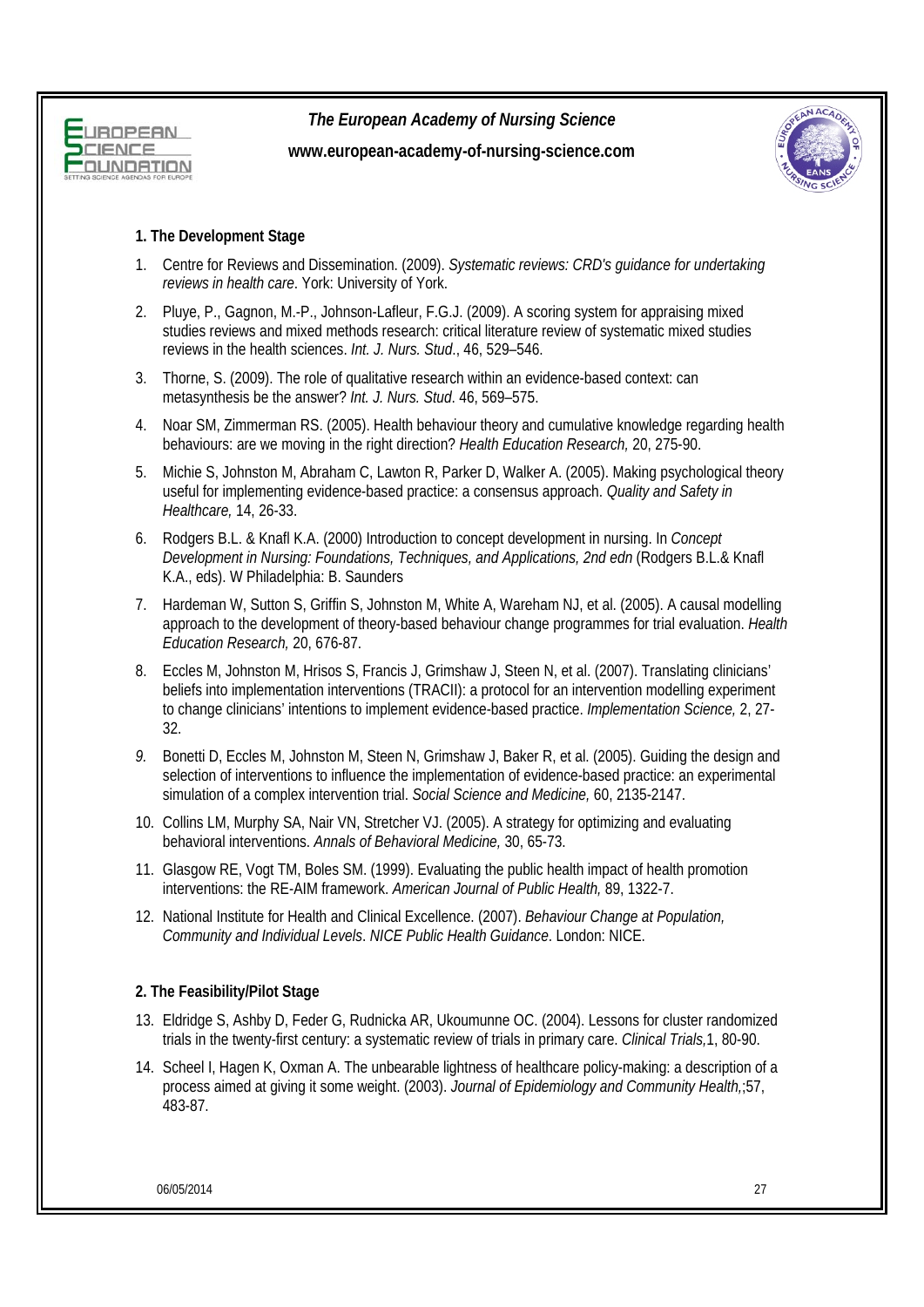



### **1. The Development Stage**

- 1. Centre for Reviews and Dissemination. (2009). *Systematic reviews: CRD's guidance for undertaking reviews in health care*. York: University of York.
- 2. Pluye, P., Gagnon, M.-P., Johnson-Lafleur, F.G.J. (2009). A scoring system for appraising mixed studies reviews and mixed methods research: critical literature review of systematic mixed studies reviews in the health sciences. *Int. J. Nurs. Stud*., 46, 529–546.
- 3. Thorne, S. (2009). The role of qualitative research within an evidence-based context: can metasynthesis be the answer? *Int. J. Nurs. Stud*. 46, 569–575.
- 4. Noar SM, Zimmerman RS. (2005). Health behaviour theory and cumulative knowledge regarding health behaviours: are we moving in the right direction? *Health Education Research,* 20, 275-90.
- 5. Michie S, Johnston M, Abraham C, Lawton R, Parker D, Walker A. (2005). Making psychological theory useful for implementing evidence-based practice: a consensus approach. *Quality and Safety in Healthcare,* 14, 26-33.
- 6. Rodgers B.L. & Knafl K.A. (2000) Introduction to concept development in nursing. In *Concept Development in Nursing: Foundations, Techniques, and Applications, 2nd edn* (Rodgers B.L.& Knafl K.A., eds). W Philadelphia: B. Saunders
- 7. Hardeman W, Sutton S, Griffin S, Johnston M, White A, Wareham NJ, et al. (2005). A causal modelling approach to the development of theory-based behaviour change programmes for trial evaluation. *Health Education Research,* 20, 676-87.
- 8. Eccles M, Johnston M, Hrisos S, Francis J, Grimshaw J, Steen N, et al. (2007). Translating clinicians' beliefs into implementation interventions (TRACII): a protocol for an intervention modelling experiment to change clinicians' intentions to implement evidence-based practice. *Implementation Science,* 2, 27- 32.
- *9.* Bonetti D, Eccles M, Johnston M, Steen N, Grimshaw J, Baker R, et al. (2005). Guiding the design and selection of interventions to influence the implementation of evidence-based practice: an experimental simulation of a complex intervention trial. *Social Science and Medicine,* 60, 2135-2147.
- 10. Collins LM, Murphy SA, Nair VN, Stretcher VJ. (2005). A strategy for optimizing and evaluating behavioral interventions. *Annals of Behavioral Medicine,* 30, 65-73.
- 11. Glasgow RE, Vogt TM, Boles SM. (1999). Evaluating the public health impact of health promotion interventions: the RE-AIM framework. *American Journal of Public Health,* 89, 1322-7.
- 12. National Institute for Health and Clinical Excellence. (2007). *Behaviour Change at Population, Community and Individual Levels*. *NICE Public Health Guidance*. London: NICE.

#### **2. The Feasibility/Pilot Stage**

- 13. Eldridge S, Ashby D, Feder G, Rudnicka AR, Ukoumunne OC. (2004). Lessons for cluster randomized trials in the twenty-first century: a systematic review of trials in primary care. *Clinical Trials,*1, 80-90.
- 14. Scheel I, Hagen K, Oxman A. The unbearable lightness of healthcare policy-making: a description of a process aimed at giving it some weight. (2003). *Journal of Epidemiology and Community Health,*;57, 483-87.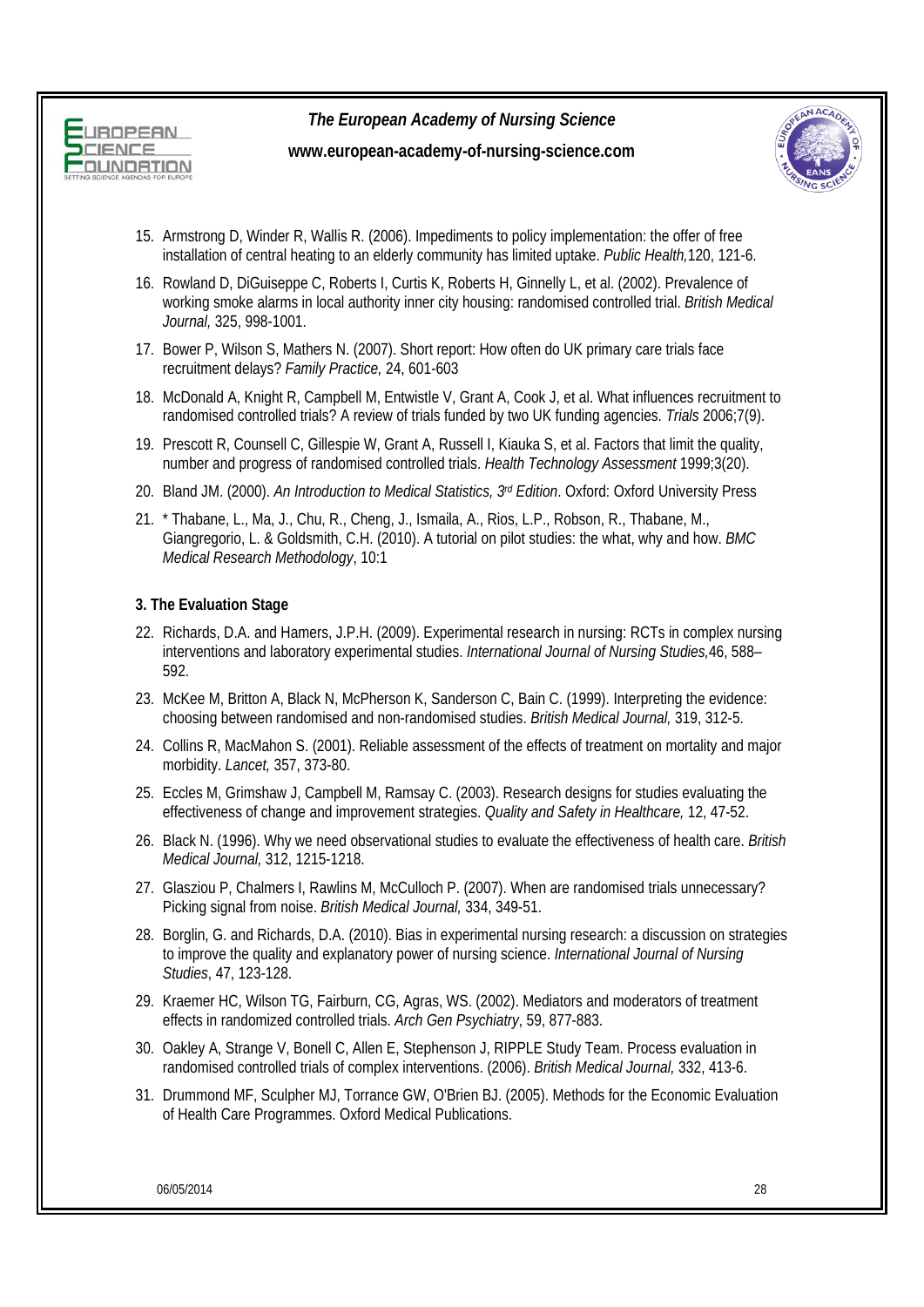



- 15. Armstrong D, Winder R, Wallis R. (2006). Impediments to policy implementation: the offer of free installation of central heating to an elderly community has limited uptake. *Public Health,*120, 121-6.
- 16. Rowland D, DiGuiseppe C, Roberts I, Curtis K, Roberts H, Ginnelly L, et al. (2002). Prevalence of working smoke alarms in local authority inner city housing: randomised controlled trial. *British Medical Journal,* 325, 998-1001.
- 17. Bower P, Wilson S, Mathers N. (2007). Short report: How often do UK primary care trials face recruitment delays? *Family Practice,* 24, 601-603
- 18. McDonald A, Knight R, Campbell M, Entwistle V, Grant A, Cook J, et al. What influences recruitment to randomised controlled trials? A review of trials funded by two UK funding agencies. *Trials* 2006;7(9).
- 19. Prescott R, Counsell C, Gillespie W, Grant A, Russell I, Kiauka S, et al. Factors that limit the quality, number and progress of randomised controlled trials. *Health Technology Assessment* 1999;3(20).
- 20. Bland JM. (2000). *An Introduction to Medical Statistics, 3rd Edition*. Oxford: Oxford University Press
- 21. \* Thabane, L., Ma, J., Chu, R., Cheng, J., Ismaila, A., Rios, L.P., Robson, R., Thabane, M., Giangregorio, L. & Goldsmith, C.H. (2010). A tutorial on pilot studies: the what, why and how. *BMC Medical Research Methodology*, 10:1

#### **3. The Evaluation Stage**

- 22. Richards, D.A. and Hamers, J.P.H. (2009). Experimental research in nursing: RCTs in complex nursing interventions and laboratory experimental studies. *International Journal of Nursing Studies,*46, 588– 592.
- 23. McKee M, Britton A, Black N, McPherson K, Sanderson C, Bain C. (1999). Interpreting the evidence: choosing between randomised and non-randomised studies. *British Medical Journal,* 319, 312-5.
- 24. Collins R, MacMahon S. (2001). Reliable assessment of the effects of treatment on mortality and major morbidity. *Lancet,* 357, 373-80.
- 25. Eccles M, Grimshaw J, Campbell M, Ramsay C. (2003). Research designs for studies evaluating the effectiveness of change and improvement strategies. *Quality and Safety in Healthcare,* 12, 47-52.
- 26. Black N. (1996). Why we need observational studies to evaluate the effectiveness of health care. *British Medical Journal,* 312, 1215-1218.
- 27. Glasziou P, Chalmers I, Rawlins M, McCulloch P. (2007). When are randomised trials unnecessary? Picking signal from noise. *British Medical Journal,* 334, 349-51.
- 28. Borglin, G. and Richards, D.A. (2010). Bias in experimental nursing research: a discussion on strategies to improve the quality and explanatory power of nursing science. *International Journal of Nursing Studies*, 47, 123-128.
- 29. Kraemer HC, Wilson TG, Fairburn, CG, Agras, WS. (2002). Mediators and moderators of treatment effects in randomized controlled trials. *Arch Gen Psychiatry*, 59, 877-883.
- 30. Oakley A, Strange V, Bonell C, Allen E, Stephenson J, RIPPLE Study Team. Process evaluation in randomised controlled trials of complex interventions. (2006). *British Medical Journal,* 332, 413-6.
- 31. Drummond MF, Sculpher MJ, Torrance GW, O'Brien BJ. (2005). Methods for the Economic Evaluation of Health Care Programmes. Oxford Medical Publications.